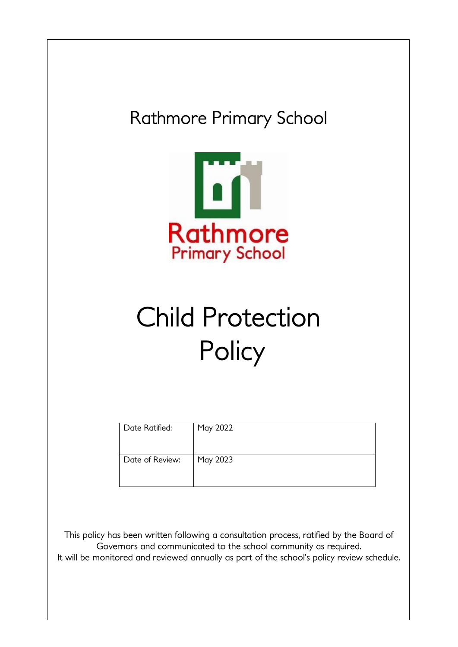

This policy has been written following a consultation process, ratified by the Board of Governors and communicated to the school community as required. It will be monitored and reviewed annually as part of the school's policy review schedule.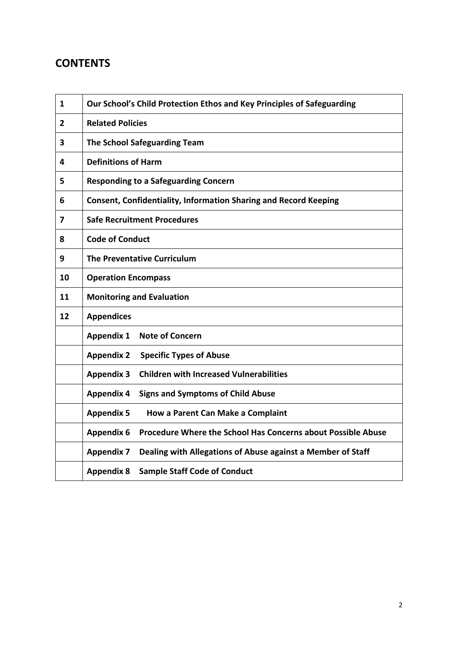# **CONTENTS**

| 1  | Our School's Child Protection Ethos and Key Principles of Safeguarding            |  |  |  |
|----|-----------------------------------------------------------------------------------|--|--|--|
| 2  | <b>Related Policies</b>                                                           |  |  |  |
| 3  | <b>The School Safeguarding Team</b>                                               |  |  |  |
| 4  | <b>Definitions of Harm</b>                                                        |  |  |  |
| 5  | <b>Responding to a Safeguarding Concern</b>                                       |  |  |  |
| 6  | <b>Consent, Confidentiality, Information Sharing and Record Keeping</b>           |  |  |  |
| 7  | <b>Safe Recruitment Procedures</b>                                                |  |  |  |
| 8  | <b>Code of Conduct</b>                                                            |  |  |  |
| 9  | The Preventative Curriculum                                                       |  |  |  |
| 10 | <b>Operation Encompass</b>                                                        |  |  |  |
| 11 | <b>Monitoring and Evaluation</b>                                                  |  |  |  |
| 12 | <b>Appendices</b>                                                                 |  |  |  |
|    | <b>Note of Concern</b><br><b>Appendix 1</b>                                       |  |  |  |
|    | <b>Appendix 2</b><br><b>Specific Types of Abuse</b>                               |  |  |  |
|    | <b>Children with Increased Vulnerabilities</b><br><b>Appendix 3</b>               |  |  |  |
|    | <b>Appendix 4</b><br><b>Signs and Symptoms of Child Abuse</b>                     |  |  |  |
|    | <b>Appendix 5</b><br>How a Parent Can Make a Complaint                            |  |  |  |
|    | <b>Appendix 6</b><br>Procedure Where the School Has Concerns about Possible Abuse |  |  |  |
|    | <b>Appendix 7</b><br>Dealing with Allegations of Abuse against a Member of Staff  |  |  |  |
|    | <b>Sample Staff Code of Conduct</b><br><b>Appendix 8</b>                          |  |  |  |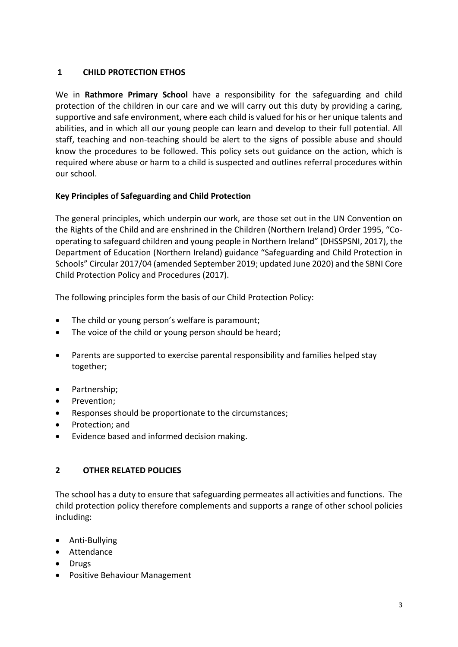# **1 CHILD PROTECTION ETHOS**

We in **Rathmore Primary School** have a responsibility for the safeguarding and child protection of the children in our care and we will carry out this duty by providing a caring, supportive and safe environment, where each child is valued for his or her unique talents and abilities, and in which all our young people can learn and develop to their full potential. All staff, teaching and non-teaching should be alert to the signs of possible abuse and should know the procedures to be followed. This policy sets out guidance on the action, which is required where abuse or harm to a child is suspected and outlines referral procedures within our school.

# **Key Principles of Safeguarding and Child Protection**

The general principles, which underpin our work, are those set out in the UN Convention on the Rights of the Child and are enshrined in the Children (Northern Ireland) Order 1995, "Cooperating to safeguard children and young people in Northern Ireland" (DHSSPSNI, 2017), the Department of Education (Northern Ireland) guidance "Safeguarding and Child Protection in Schools" Circular 2017/04 (amended September 2019; updated June 2020) and the SBNI Core Child Protection Policy and Procedures (2017).

The following principles form the basis of our Child Protection Policy:

- The child or young person's welfare is paramount;
- The voice of the child or young person should be heard;
- Parents are supported to exercise parental responsibility and families helped stay together;
- Partnership;
- Prevention:
- Responses should be proportionate to the circumstances;
- Protection; and
- Evidence based and informed decision making.

# **2 OTHER RELATED POLICIES**

The school has a duty to ensure that safeguarding permeates all activities and functions. The child protection policy therefore complements and supports a range of other school policies including:

- Anti-Bullying
- Attendance
- Drugs
- Positive Behaviour Management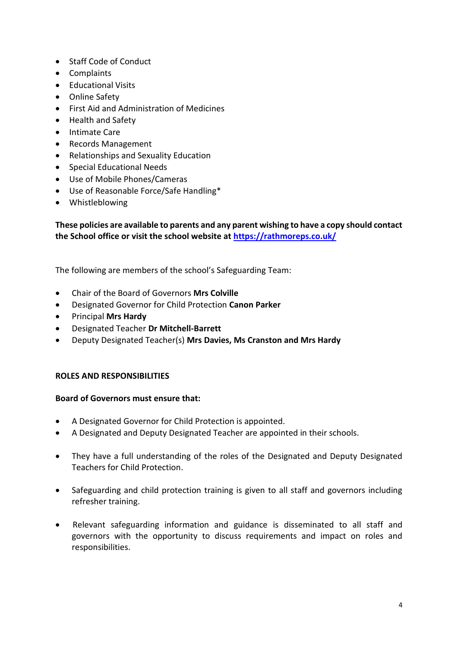- Staff Code of Conduct
- Complaints
- Educational Visits
- Online Safety
- First Aid and Administration of Medicines
- Health and Safety
- Intimate Care
- Records Management
- Relationships and Sexuality Education
- Special Educational Needs
- Use of Mobile Phones/Cameras
- Use of Reasonable Force/Safe Handling\*
- Whistleblowing

**These policies are available to parents and any parent wishing to have a copy should contact the School office or visit the school website at<https://rathmoreps.co.uk/>**

The following are members of the school's Safeguarding Team:

- Chair of the Board of Governors **Mrs Colville**
- Designated Governor for Child Protection **Canon Parker**
- Principal **Mrs Hardy**
- Designated Teacher **Dr Mitchell-Barrett**
- Deputy Designated Teacher(s) **Mrs Davies, Ms Cranston and Mrs Hardy**

#### **ROLES AND RESPONSIBILITIES**

#### **Board of Governors must ensure that:**

- A Designated Governor for Child Protection is appointed.
- A Designated and Deputy Designated Teacher are appointed in their schools.
- They have a full understanding of the roles of the Designated and Deputy Designated Teachers for Child Protection.
- Safeguarding and child protection training is given to all staff and governors including refresher training.
- Relevant safeguarding information and guidance is disseminated to all staff and governors with the opportunity to discuss requirements and impact on roles and responsibilities.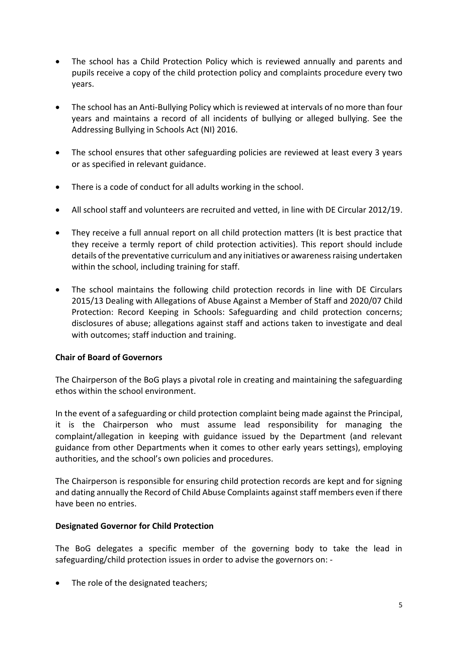- The school has a Child Protection Policy which is reviewed annually and parents and pupils receive a copy of the child protection policy and complaints procedure every two years.
- The school has an Anti-Bullying Policy which is reviewed at intervals of no more than four years and maintains a record of all incidents of bullying or alleged bullying. See the Addressing Bullying in Schools Act (NI) 2016.
- The school ensures that other safeguarding policies are reviewed at least every 3 years or as specified in relevant guidance.
- There is a code of conduct for all adults working in the school.
- All school staff and volunteers are recruited and vetted, in line with DE Circular 2012/19.
- They receive a full annual report on all child protection matters (It is best practice that they receive a termly report of child protection activities). This report should include details of the preventative curriculum and any initiatives or awareness raising undertaken within the school, including training for staff.
- The school maintains the following child protection records in line with DE Circulars 2015/13 Dealing with Allegations of Abuse Against a Member of Staff and 2020/07 Child Protection: Record Keeping in Schools: Safeguarding and child protection concerns; disclosures of abuse; allegations against staff and actions taken to investigate and deal with outcomes; staff induction and training.

# **Chair of Board of Governors**

The Chairperson of the BoG plays a pivotal role in creating and maintaining the safeguarding ethos within the school environment.

In the event of a safeguarding or child protection complaint being made against the Principal, it is the Chairperson who must assume lead responsibility for managing the complaint/allegation in keeping with guidance issued by the Department (and relevant guidance from other Departments when it comes to other early years settings), employing authorities, and the school's own policies and procedures.

The Chairperson is responsible for ensuring child protection records are kept and for signing and dating annually the Record of Child Abuse Complaints against staff members even if there have been no entries.

# **Designated Governor for Child Protection**

The BoG delegates a specific member of the governing body to take the lead in safeguarding/child protection issues in order to advise the governors on: -

• The role of the designated teachers;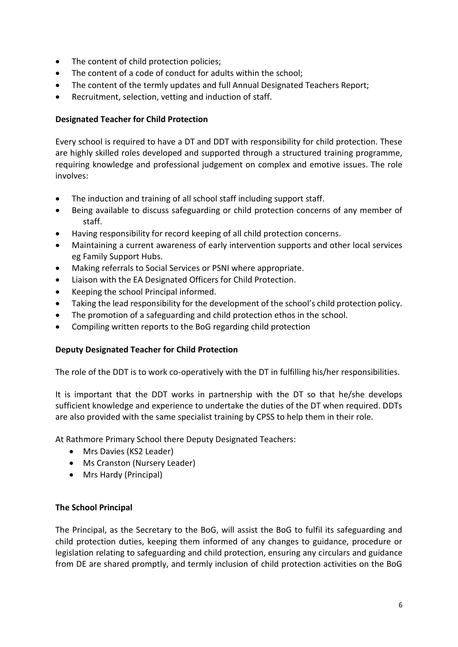- The content of child protection policies;
- The content of a code of conduct for adults within the school;
- The content of the termly updates and full Annual Designated Teachers Report;
- Recruitment, selection, vetting and induction of staff.

# **Designated Teacher for Child Protection**

Every school is required to have a DT and DDT with responsibility for child protection. These are highly skilled roles developed and supported through a structured training programme, requiring knowledge and professional judgement on complex and emotive issues. The role involves:

- The induction and training of all school staff including support staff.
- Being available to discuss safeguarding or child protection concerns of any member of staff.
- Having responsibility for record keeping of all child protection concerns.
- Maintaining a current awareness of early intervention supports and other local services eg Family Support Hubs.
- Making referrals to Social Services or PSNI where appropriate.
- Liaison with the EA Designated Officers for Child Protection.
- Keeping the school Principal informed.
- Taking the lead responsibility for the development of the school's child protection policy.
- The promotion of a safeguarding and child protection ethos in the school.
- Compiling written reports to the BoG regarding child protection

# **Deputy Designated Teacher for Child Protection**

The role of the DDT is to work co-operatively with the DT in fulfilling his/her responsibilities.

It is important that the DDT works in partnership with the DT so that he/she develops sufficient knowledge and experience to undertake the duties of the DT when required. DDTs are also provided with the same specialist training by CPSS to help them in their role.

At Rathmore Primary School there Deputy Designated Teachers:

- Mrs Davies (KS2 Leader)
- Ms Cranston (Nursery Leader)
- Mrs Hardy (Principal)

# **The School Principal**

The Principal, as the Secretary to the BoG, will assist the BoG to fulfil its safeguarding and child protection duties, keeping them informed of any changes to guidance, procedure or legislation relating to safeguarding and child protection, ensuring any circulars and guidance from DE are shared promptly, and termly inclusion of child protection activities on the BoG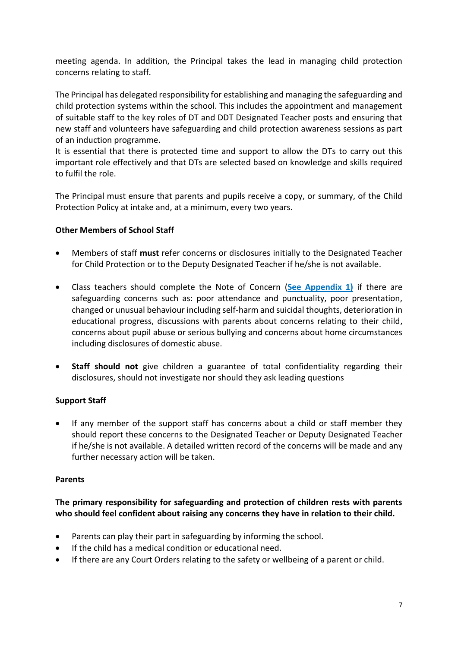meeting agenda. In addition, the Principal takes the lead in managing child protection concerns relating to staff.

The Principal has delegated responsibility for establishing and managing the safeguarding and child protection systems within the school. This includes the appointment and management of suitable staff to the key roles of DT and DDT Designated Teacher posts and ensuring that new staff and volunteers have safeguarding and child protection awareness sessions as part of an induction programme.

It is essential that there is protected time and support to allow the DTs to carry out this important role effectively and that DTs are selected based on knowledge and skills required to fulfil the role.

The Principal must ensure that parents and pupils receive a copy, or summary, of the Child Protection Policy at intake and, at a minimum, every two years.

# **Other Members of School Staff**

- Members of staff **must** refer concerns or disclosures initially to the Designated Teacher for Child Protection or to the Deputy Designated Teacher if he/she is not available.
- Class teachers should complete the Note of Concern (**See Appendix 1)** if there are safeguarding concerns such as: poor attendance and punctuality, poor presentation, changed or unusual behaviour including self-harm and suicidal thoughts, deterioration in educational progress, discussions with parents about concerns relating to their child, concerns about pupil abuse or serious bullying and concerns about home circumstances including disclosures of domestic abuse.
- **Staff should not** give children a guarantee of total confidentiality regarding their disclosures, should not investigate nor should they ask leading questions

# **Support Staff**

 If any member of the support staff has concerns about a child or staff member they should report these concerns to the Designated Teacher or Deputy Designated Teacher if he/she is not available. A detailed written record of the concerns will be made and any further necessary action will be taken.

# **Parents**

# **The primary responsibility for safeguarding and protection of children rests with parents who should feel confident about raising any concerns they have in relation to their child.**

- Parents can play their part in safeguarding by informing the school.
- If the child has a medical condition or educational need.
- If there are any Court Orders relating to the safety or wellbeing of a parent or child.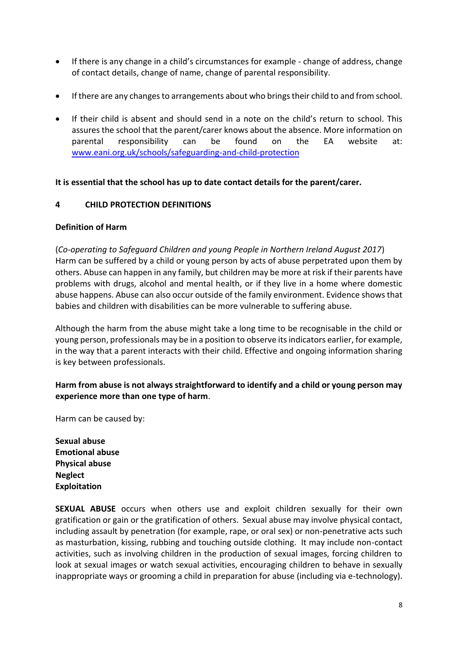- If there is any change in a child's circumstances for example change of address, change of contact details, change of name, change of parental responsibility.
- If there are any changes to arrangements about who brings their child to and from school.
- If their child is absent and should send in a note on the child's return to school. This assures the school that the parent/carer knows about the absence. More information on parental responsibility can be found on the EA website at: [www.eani.org.uk/schools/safeguarding-and-child-protection](http://www.eani.org.uk/schools/safeguarding-and-child-protection)

# **It is essential that the school has up to date contact details for the parent/carer.**

# **4 CHILD PROTECTION DEFINITIONS**

# **Definition of Harm**

(*Co-operating to Safeguard Children and young People in Northern Ireland August 2017*) Harm can be suffered by a child or young person by acts of abuse perpetrated upon them by others. Abuse can happen in any family, but children may be more at risk if their parents have problems with drugs, alcohol and mental health, or if they live in a home where domestic abuse happens. Abuse can also occur outside of the family environment. Evidence shows that babies and children with disabilities can be more vulnerable to suffering abuse.

Although the harm from the abuse might take a long time to be recognisable in the child or young person, professionals may be in a position to observe its indicators earlier, for example, in the way that a parent interacts with their child. Effective and ongoing information sharing is key between professionals.

# **Harm from abuse is not always straightforward to identify and a child or young person may experience more than one type of harm**.

Harm can be caused by:

**Sexual abuse Emotional abuse Physical abuse Neglect Exploitation**

**SEXUAL ABUSE** occurs when others use and exploit children sexually for their own gratification or gain or the gratification of others. Sexual abuse may involve physical contact, including assault by penetration (for example, rape, or oral sex) or non-penetrative acts such as masturbation, kissing, rubbing and touching outside clothing. It may include non-contact activities, such as involving children in the production of sexual images, forcing children to look at sexual images or watch sexual activities, encouraging children to behave in sexually inappropriate ways or grooming a child in preparation for abuse (including via e-technology).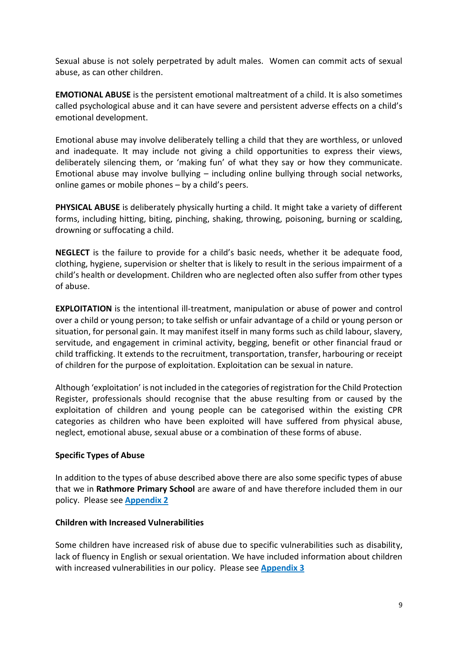Sexual abuse is not solely perpetrated by adult males. Women can commit acts of sexual abuse, as can other children.

**EMOTIONAL ABUSE** is the persistent emotional maltreatment of a child. It is also sometimes called psychological abuse and it can have severe and persistent adverse effects on a child's emotional development.

Emotional abuse may involve deliberately telling a child that they are worthless, or unloved and inadequate. It may include not giving a child opportunities to express their views, deliberately silencing them, or 'making fun' of what they say or how they communicate. Emotional abuse may involve bullying – including online bullying through social networks, online games or mobile phones – by a child's peers.

**PHYSICAL ABUSE** is deliberately physically hurting a child. It might take a variety of different forms, including hitting, biting, pinching, shaking, throwing, poisoning, burning or scalding, drowning or suffocating a child.

**NEGLECT** is the failure to provide for a child's basic needs, whether it be adequate food, clothing, hygiene, supervision or shelter that is likely to result in the serious impairment of a child's health or development. Children who are neglected often also suffer from other types of abuse.

**EXPLOITATION** is the intentional ill-treatment, manipulation or abuse of power and control over a child or young person; to take selfish or unfair advantage of a child or young person or situation, for personal gain. It may manifest itself in many forms such as child labour, slavery, servitude, and engagement in criminal activity, begging, benefit or other financial fraud or child trafficking. It extends to the recruitment, transportation, transfer, harbouring or receipt of children for the purpose of exploitation. Exploitation can be sexual in nature.

Although 'exploitation' is not included in the categories of registration for the Child Protection Register, professionals should recognise that the abuse resulting from or caused by the exploitation of children and young people can be categorised within the existing CPR categories as children who have been exploited will have suffered from physical abuse, neglect, emotional abuse, sexual abuse or a combination of these forms of abuse.

# **Specific Types of Abuse**

In addition to the types of abuse described above there are also some specific types of abuse that we in **Rathmore Primary School** are aware of and have therefore included them in our policy. Please see **Appendix 2**

# **Children with Increased Vulnerabilities**

Some children have increased risk of abuse due to specific vulnerabilities such as disability, lack of fluency in English or sexual orientation. We have included information about children with increased vulnerabilities in our policy. Please see **Appendix 3**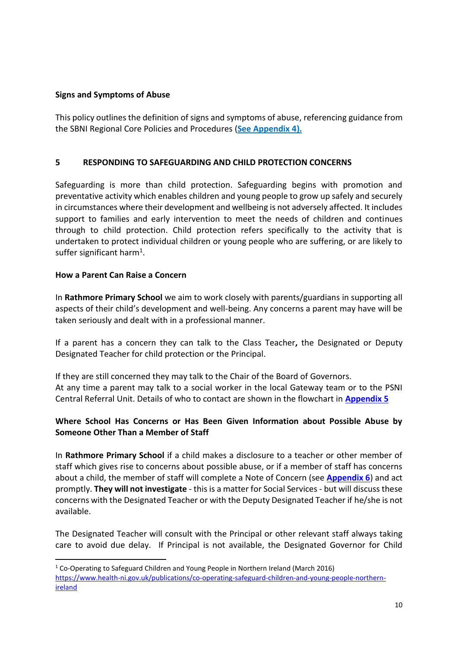# **Signs and Symptoms of Abuse**

This policy outlines the definition of signs and symptoms of abuse, referencing guidance from the SBNI Regional Core Policies and Procedures (**See Appendix 4).**

# **5 RESPONDING TO SAFEGUARDING AND CHILD PROTECTION CONCERNS**

Safeguarding is more than child protection. Safeguarding begins with promotion and preventative activity which enables children and young people to grow up safely and securely in circumstances where their development and wellbeing is not adversely affected. It includes support to families and early intervention to meet the needs of children and continues through to child protection. Child protection refers specifically to the activity that is undertaken to protect individual children or young people who are suffering, or are likely to suffer significant harm<sup>1</sup>.

#### **How a Parent Can Raise a Concern**

**.** 

In **Rathmore Primary School** we aim to work closely with parents/guardians in supporting all aspects of their child's development and well-being. Any concerns a parent may have will be taken seriously and dealt with in a professional manner.

If a parent has a concern they can talk to the Class Teacher**,** the Designated or Deputy Designated Teacher for child protection or the Principal.

If they are still concerned they may talk to the Chair of the Board of Governors. At any time a parent may talk to a social worker in the local Gateway team or to the PSNI Central Referral Unit. Details of who to contact are shown in the flowchart in **[Appendix 5](#page-42-0)**

# **Where School Has Concerns or Has Been Given Information about Possible Abuse by Someone Other Than a Member of Staff**

In **Rathmore Primary School** if a child makes a disclosure to a teacher or other member of staff which gives rise to concerns about possible abuse, or if a member of staff has concerns about a child, the member of staff will complete a Note of Concern (see **[Appendix 6](#page-14-0)**) and act promptly. **They will not investigate** - this is a matter for Social Services - but will discuss these concerns with the Designated Teacher or with the Deputy Designated Teacher if he/she is not available.

The Designated Teacher will consult with the Principal or other relevant staff always taking care to avoid due delay. If Principal is not available, the Designated Governor for Child

 $1$  Co-Operating to Safeguard Children and Young People in Northern Ireland (March 2016)

[https://www.health-ni.gov.uk/publications/co-operating-safeguard-children-and-young-people-northern](https://www.health-ni.gov.uk/publications/co-operating-safeguard-children-and-young-people-northern-ireland)**[ireland](https://www.health-ni.gov.uk/publications/co-operating-safeguard-children-and-young-people-northern-ireland)**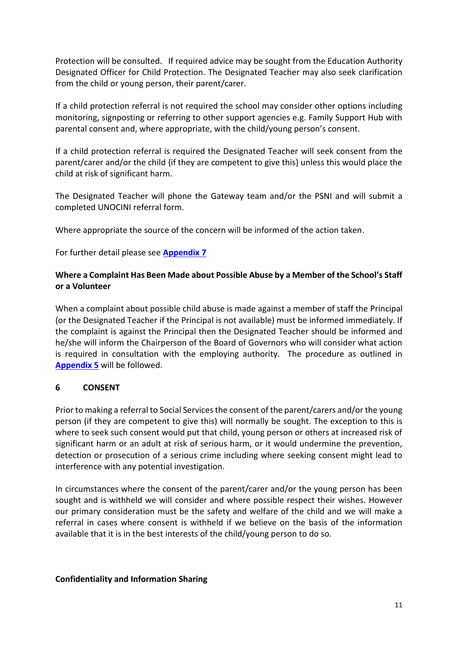Protection will be consulted.If required advice may be sought from the Education Authority Designated Officer for Child Protection. The Designated Teacher may also seek clarification from the child or young person, their parent/carer.

If a child protection referral is not required the school may consider other options including monitoring, signposting or referring to other support agencies e.g. Family Support Hub with parental consent and, where appropriate, with the child/young person's consent.

If a child protection referral is required the Designated Teacher will seek consent from the parent/carer and/or the child {if they are competent to give this} unless this would place the child at risk of significant harm.

The Designated Teacher will phone the Gateway team and/or the PSNI and will submit a completed UNOCINI referral form.

Where appropriate the source of the concern will be informed of the action taken.

For further detail please see **[Appendix 7](#page-44-0)**

# **Where a Complaint Has Been Made about Possible Abuse by a Member of the School's Staff or a Volunteer**

When a complaint about possible child abuse is made against a member of staff the Principal (or the Designated Teacher if the Principal is not available) must be informed immediately. If the complaint is against the Principal then the Designated Teacher should be informed and he/she will inform the Chairperson of the Board of Governors who will consider what action is required in consultation with the employing authority. The procedure as outlined in **[Appendix 5](#page-45-0)** will be followed.

# **6 CONSENT**

Prior to making a referral to Social Services the consent of the parent/carers and/or the young person (if they are competent to give this) will normally be sought. The exception to this is where to seek such consent would put that child, young person or others at increased risk of significant harm or an adult at risk of serious harm, or it would undermine the prevention, detection or prosecution of a serious crime including where seeking consent might lead to interference with any potential investigation.

In circumstances where the consent of the parent/carer and/or the young person has been sought and is withheld we will consider and where possible respect their wishes. However our primary consideration must be the safety and welfare of the child and we will make a referral in cases where consent is withheld if we believe on the basis of the information available that it is in the best interests of the child/young person to do so.

#### **Confidentiality and Information Sharing**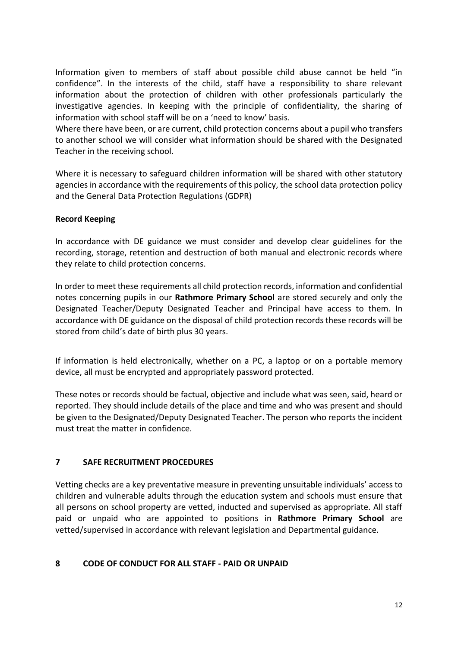Information given to members of staff about possible child abuse cannot be held "in confidence". In the interests of the child, staff have a responsibility to share relevant information about the protection of children with other professionals particularly the investigative agencies. In keeping with the principle of confidentiality, the sharing of information with school staff will be on a 'need to know' basis.

Where there have been, or are current, child protection concerns about a pupil who transfers to another school we will consider what information should be shared with the Designated Teacher in the receiving school.

Where it is necessary to safeguard children information will be shared with other statutory agencies in accordance with the requirements of this policy, the school data protection policy and the General Data Protection Regulations (GDPR)

# **Record Keeping**

In accordance with DE guidance we must consider and develop clear guidelines for the recording, storage, retention and destruction of both manual and electronic records where they relate to child protection concerns.

In order to meet these requirements all child protection records, information and confidential notes concerning pupils in our **Rathmore Primary School** are stored securely and only the Designated Teacher/Deputy Designated Teacher and Principal have access to them. In accordance with DE guidance on the disposal of child protection records these records will be stored from child's date of birth plus 30 years.

If information is held electronically, whether on a PC, a laptop or on a portable memory device, all must be encrypted and appropriately password protected.

These notes or records should be factual, objective and include what was seen, said, heard or reported. They should include details of the place and time and who was present and should be given to the Designated/Deputy Designated Teacher. The person who reports the incident must treat the matter in confidence.

# **7 SAFE RECRUITMENT PROCEDURES**

Vetting checks are a key preventative measure in preventing unsuitable individuals' access to children and vulnerable adults through the education system and schools must ensure that all persons on school property are vetted, inducted and supervised as appropriate. All staff paid or unpaid who are appointed to positions in **Rathmore Primary School** are vetted/supervised in accordance with relevant legislation and Departmental guidance.

# **8 CODE OF CONDUCT FOR ALL STAFF - PAID OR UNPAID**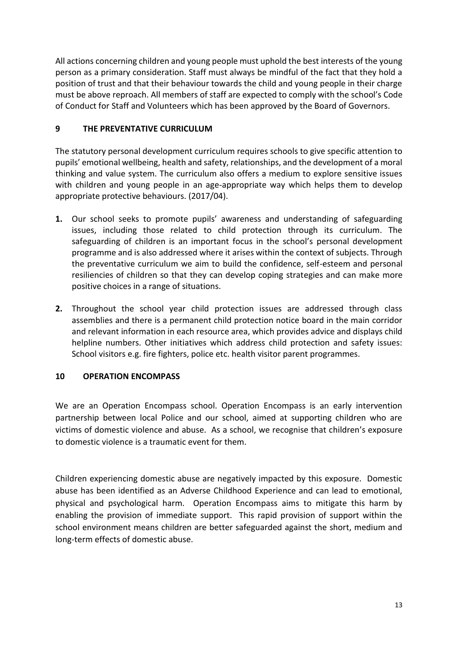All actions concerning children and young people must uphold the best interests of the young person as a primary consideration. Staff must always be mindful of the fact that they hold a position of trust and that their behaviour towards the child and young people in their charge must be above reproach. All members of staff are expected to comply with the school's Code of Conduct for Staff and Volunteers which has been approved by the Board of Governors.

# **9 THE PREVENTATIVE CURRICULUM**

The statutory personal development curriculum requires schools to give specific attention to pupils' emotional wellbeing, health and safety, relationships, and the development of a moral thinking and value system. The curriculum also offers a medium to explore sensitive issues with children and young people in an age-appropriate way which helps them to develop appropriate protective behaviours. (2017/04).

- **1.** Our school seeks to promote pupils' awareness and understanding of safeguarding issues, including those related to child protection through its curriculum. The safeguarding of children is an important focus in the school's personal development programme and is also addressed where it arises within the context of subjects. Through the preventative curriculum we aim to build the confidence, self-esteem and personal resiliencies of children so that they can develop coping strategies and can make more positive choices in a range of situations.
- **2.** Throughout the school year child protection issues are addressed through class assemblies and there is a permanent child protection notice board in the main corridor and relevant information in each resource area, which provides advice and displays child helpline numbers. Other initiatives which address child protection and safety issues: School visitors e.g. fire fighters, police etc. health visitor parent programmes.

# **10 OPERATION ENCOMPASS**

We are an Operation Encompass school. Operation Encompass is an early intervention partnership between local Police and our school, aimed at supporting children who are victims of domestic violence and abuse. As a school, we recognise that children's exposure to domestic violence is a traumatic event for them.

Children experiencing domestic abuse are negatively impacted by this exposure. Domestic abuse has been identified as an Adverse Childhood Experience and can lead to emotional, physical and psychological harm. Operation Encompass aims to mitigate this harm by enabling the provision of immediate support. This rapid provision of support within the school environment means children are better safeguarded against the short, medium and long-term effects of domestic abuse.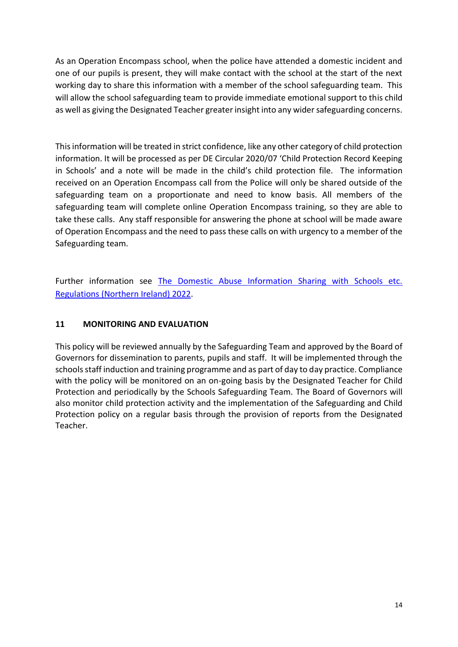As an Operation Encompass school, when the police have attended a domestic incident and one of our pupils is present, they will make contact with the school at the start of the next working day to share this information with a member of the school safeguarding team. This will allow the school safeguarding team to provide immediate emotional support to this child as well as giving the Designated Teacher greater insight into any wider safeguarding concerns.

This information will be treated in strict confidence, like any other category of child protection information. It will be processed as per DE Circular 2020/07 'Child Protection Record Keeping in Schools' and a note will be made in the child's child protection file. The information received on an Operation Encompass call from the Police will only be shared outside of the safeguarding team on a proportionate and need to know basis. All members of the safeguarding team will complete online Operation Encompass training, so they are able to take these calls. Any staff responsible for answering the phone at school will be made aware of Operation Encompass and the need to pass these calls on with urgency to a member of the Safeguarding team.

Further information see [The Domestic Abuse Information Sharing with Schools etc.](https://www.legislation.gov.uk/nisr/2022/146/contents/made)  [Regulations \(Northern Ireland\) 2022.](https://www.legislation.gov.uk/nisr/2022/146/contents/made)

# **11 MONITORING AND EVALUATION**

This policy will be reviewed annually by the Safeguarding Team and approved by the Board of Governors for dissemination to parents, pupils and staff. It will be implemented through the schools staff induction and training programme and as part of day to day practice. Compliance with the policy will be monitored on an on-going basis by the Designated Teacher for Child Protection and periodically by the Schools Safeguarding Team. The Board of Governors will also monitor child protection activity and the implementation of the Safeguarding and Child Protection policy on a regular basis through the provision of reports from the Designated Teacher.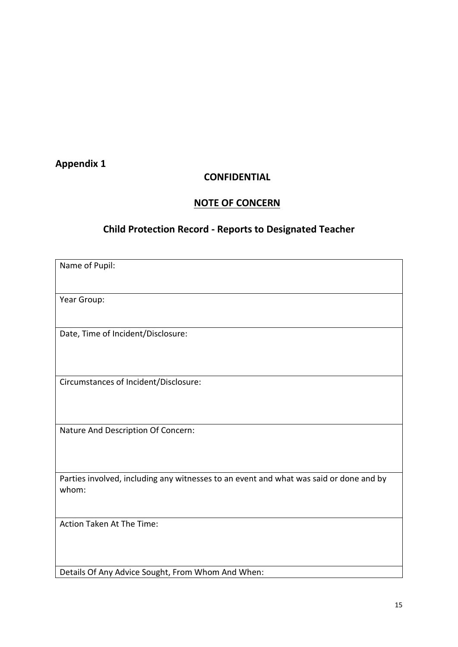# <span id="page-14-0"></span>**Appendix 1**

# **CONFIDENTIAL**

# **NOTE OF CONCERN**

# **Child Protection Record - Reports to Designated Teacher**

| Name of Pupil:                                                                                  |
|-------------------------------------------------------------------------------------------------|
| Year Group:                                                                                     |
|                                                                                                 |
| Date, Time of Incident/Disclosure:                                                              |
|                                                                                                 |
| Circumstances of Incident/Disclosure:                                                           |
|                                                                                                 |
| Nature And Description Of Concern:                                                              |
|                                                                                                 |
| Parties involved, including any witnesses to an event and what was said or done and by<br>whom: |
|                                                                                                 |
| Action Taken At The Time:                                                                       |
|                                                                                                 |
| Details Of Any Advice Sought, From Whom And When:                                               |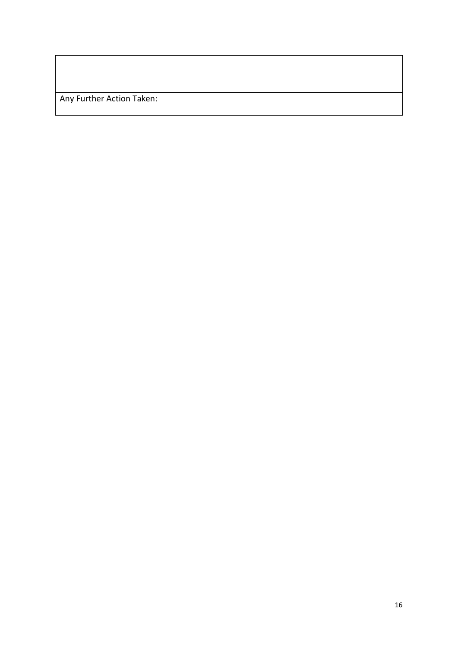Any Further Action Taken: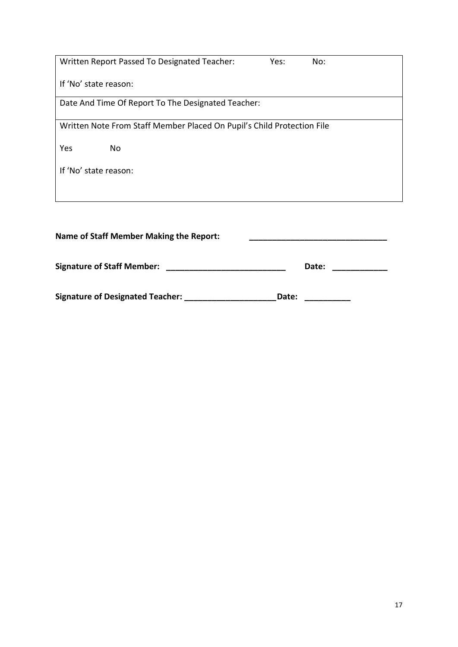| No:                                                                    |  |  |  |  |  |
|------------------------------------------------------------------------|--|--|--|--|--|
|                                                                        |  |  |  |  |  |
| Date And Time Of Report To The Designated Teacher:                     |  |  |  |  |  |
| Written Note From Staff Member Placed On Pupil's Child Protection File |  |  |  |  |  |
|                                                                        |  |  |  |  |  |
|                                                                        |  |  |  |  |  |
|                                                                        |  |  |  |  |  |
|                                                                        |  |  |  |  |  |
| <b>Name of Staff Member Making the Report:</b>                         |  |  |  |  |  |
|                                                                        |  |  |  |  |  |

| <b>Signature of Staff Member:</b> |  | Date: |  |
|-----------------------------------|--|-------|--|
|-----------------------------------|--|-------|--|

Signature of Designated Teacher: \_\_\_\_\_\_\_\_\_\_\_\_\_\_\_\_\_\_\_\_\_\_\_\_Date: \_\_\_\_\_\_\_\_\_\_\_\_\_\_\_\_\_\_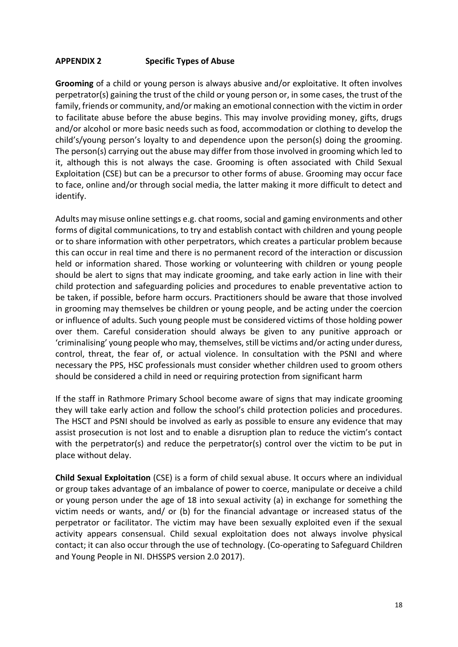# **APPENDIX 2 Specific Types of Abuse**

**Grooming** of a child or young person is always abusive and/or exploitative. It often involves perpetrator(s) gaining the trust of the child or young person or, in some cases, the trust of the family, friends or community, and/or making an emotional connection with the victim in order to facilitate abuse before the abuse begins. This may involve providing money, gifts, drugs and/or alcohol or more basic needs such as food, accommodation or clothing to develop the child's/young person's loyalty to and dependence upon the person(s) doing the grooming. The person(s) carrying out the abuse may differ from those involved in grooming which led to it, although this is not always the case. Grooming is often associated with Child Sexual Exploitation (CSE) but can be a precursor to other forms of abuse. Grooming may occur face to face, online and/or through social media, the latter making it more difficult to detect and identify.

Adults may misuse online settings e.g. chat rooms, social and gaming environments and other forms of digital communications, to try and establish contact with children and young people or to share information with other perpetrators, which creates a particular problem because this can occur in real time and there is no permanent record of the interaction or discussion held or information shared. Those working or volunteering with children or young people should be alert to signs that may indicate grooming, and take early action in line with their child protection and safeguarding policies and procedures to enable preventative action to be taken, if possible, before harm occurs. Practitioners should be aware that those involved in grooming may themselves be children or young people, and be acting under the coercion or influence of adults. Such young people must be considered victims of those holding power over them. Careful consideration should always be given to any punitive approach or 'criminalising' young people who may, themselves, still be victims and/or acting under duress, control, threat, the fear of, or actual violence. In consultation with the PSNI and where necessary the PPS, HSC professionals must consider whether children used to groom others should be considered a child in need or requiring protection from significant harm

If the staff in Rathmore Primary School become aware of signs that may indicate grooming they will take early action and follow the school's child protection policies and procedures. The HSCT and PSNI should be involved as early as possible to ensure any evidence that may assist prosecution is not lost and to enable a disruption plan to reduce the victim's contact with the perpetrator(s) and reduce the perpetrator(s) control over the victim to be put in place without delay.

**Child Sexual Exploitation** (CSE) is a form of child sexual abuse. It occurs where an individual or group takes advantage of an imbalance of power to coerce, manipulate or deceive a child or young person under the age of 18 into sexual activity (a) in exchange for something the victim needs or wants, and/ or (b) for the financial advantage or increased status of the perpetrator or facilitator. The victim may have been sexually exploited even if the sexual activity appears consensual. Child sexual exploitation does not always involve physical contact; it can also occur through the use of technology. (Co-operating to Safeguard Children and Young People in NI. DHSSPS version 2.0 2017).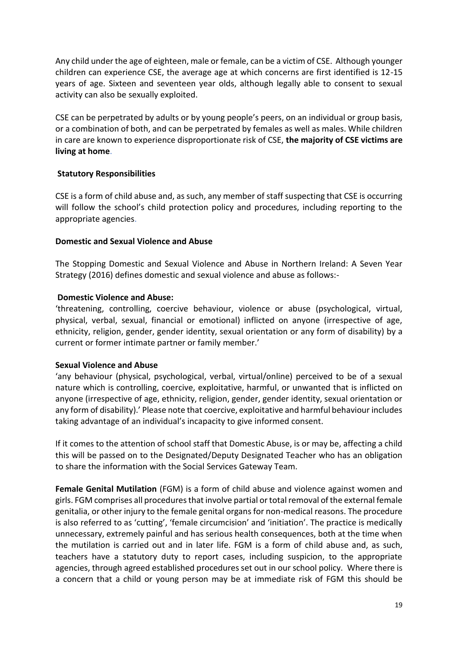Any child under the age of eighteen, male or female, can be a victim of CSE. Although younger children can experience CSE, the average age at which concerns are first identified is 12-15 years of age. Sixteen and seventeen year olds, although legally able to consent to sexual activity can also be sexually exploited.

CSE can be perpetrated by adults or by young people's peers, on an individual or group basis, or a combination of both, and can be perpetrated by females as well as males. While children in care are known to experience disproportionate risk of CSE, **the majority of CSE victims are living at home**.

#### **Statutory Responsibilities**

CSE is a form of child abuse and, as such, any member of staff suspecting that CSE is occurring will follow the school's child protection policy and procedures, including reporting to the appropriate agencies.

#### **Domestic and Sexual Violence and Abuse**

The Stopping Domestic and Sexual Violence and Abuse in Northern Ireland: A Seven Year Strategy (2016) defines domestic and sexual violence and abuse as follows:-

#### **Domestic Violence and Abuse:**

'threatening, controlling, coercive behaviour, violence or abuse (psychological, virtual, physical, verbal, sexual, financial or emotional) inflicted on anyone (irrespective of age, ethnicity, religion, gender, gender identity, sexual orientation or any form of disability) by a current or former intimate partner or family member.'

#### **Sexual Violence and Abuse**

'any behaviour (physical, psychological, verbal, virtual/online) perceived to be of a sexual nature which is controlling, coercive, exploitative, harmful, or unwanted that is inflicted on anyone (irrespective of age, ethnicity, religion, gender, gender identity, sexual orientation or any form of disability).' Please note that coercive, exploitative and harmful behaviour includes taking advantage of an individual's incapacity to give informed consent.

If it comes to the attention of school staff that Domestic Abuse, is or may be, affecting a child this will be passed on to the Designated/Deputy Designated Teacher who has an obligation to share the information with the Social Services Gateway Team.

**Female Genital Mutilation** (FGM) is a form of child abuse and violence against women and girls. FGM comprises all procedures that involve partial or total removal of the external female genitalia, or other injury to the female genital organs for non-medical reasons. The procedure is also referred to as 'cutting', 'female circumcision' and 'initiation'. The practice is medically unnecessary, extremely painful and has serious health consequences, both at the time when the mutilation is carried out and in later life. FGM is a form of child abuse and, as such, teachers have a statutory duty to report cases, including suspicion, to the appropriate agencies, through agreed established procedures set out in our school policy. Where there is a concern that a child or young person may be at immediate risk of FGM this should be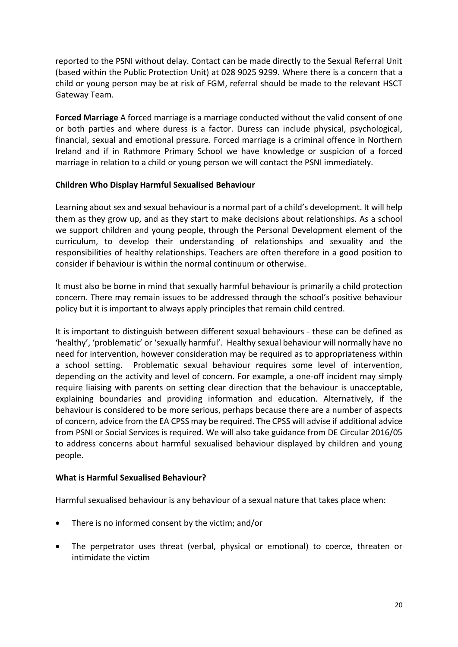reported to the PSNI without delay. Contact can be made directly to the Sexual Referral Unit (based within the Public Protection Unit) at 028 9025 9299. Where there is a concern that a child or young person may be at risk of FGM, referral should be made to the relevant HSCT Gateway Team.

**Forced Marriage** A forced marriage is a marriage conducted without the valid consent of one or both parties and where duress is a factor. Duress can include physical, psychological, financial, sexual and emotional pressure. Forced marriage is a criminal offence in Northern Ireland and if in Rathmore Primary School we have knowledge or suspicion of a forced marriage in relation to a child or young person we will contact the PSNI immediately.

# **Children Who Display Harmful Sexualised Behaviour**

Learning about sex and sexual behaviour is a normal part of a child's development. It will help them as they grow up, and as they start to make decisions about relationships. As a school we support children and young people, through the Personal Development element of the curriculum, to develop their understanding of relationships and sexuality and the responsibilities of healthy relationships. Teachers are often therefore in a good position to consider if behaviour is within the normal continuum or otherwise.

It must also be borne in mind that sexually harmful behaviour is primarily a child protection concern. There may remain issues to be addressed through the school's positive behaviour policy but it is important to always apply principles that remain child centred.

It is important to distinguish between different sexual behaviours - these can be defined as 'healthy', 'problematic' or 'sexually harmful'. Healthy sexual behaviour will normally have no need for intervention, however consideration may be required as to appropriateness within a school setting. Problematic sexual behaviour requires some level of intervention, depending on the activity and level of concern. For example, a one-off incident may simply require liaising with parents on setting clear direction that the behaviour is unacceptable, explaining boundaries and providing information and education. Alternatively, if the behaviour is considered to be more serious, perhaps because there are a number of aspects of concern, advice from the EA CPSS may be required. The CPSS will advise if additional advice from PSNI or Social Services is required. We will also take guidance from DE Circular 2016/05 to address concerns about harmful sexualised behaviour displayed by children and young people.

#### **What is Harmful Sexualised Behaviour?**

Harmful sexualised behaviour is any behaviour of a sexual nature that takes place when:

- There is no informed consent by the victim; and/or
- The perpetrator uses threat (verbal, physical or emotional) to coerce, threaten or intimidate the victim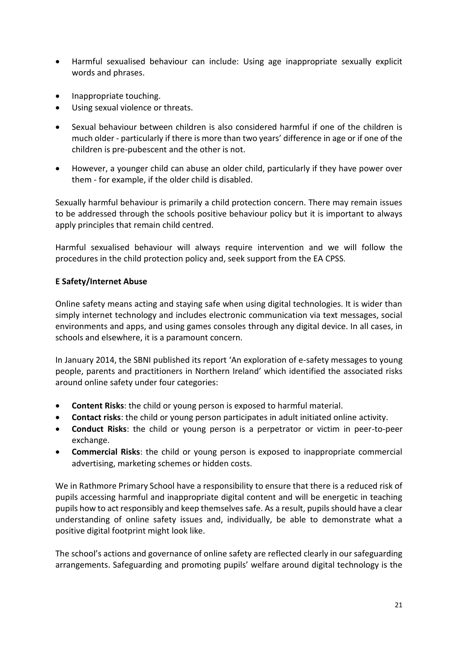- Harmful sexualised behaviour can include: Using age inappropriate sexually explicit words and phrases.
- Inappropriate touching.
- Using sexual violence or threats.
- Sexual behaviour between children is also considered harmful if one of the children is much older - particularly if there is more than two years' difference in age or if one of the children is pre-pubescent and the other is not.
- However, a younger child can abuse an older child, particularly if they have power over them - for example, if the older child is disabled.

Sexually harmful behaviour is primarily a child protection concern. There may remain issues to be addressed through the schools positive behaviour policy but it is important to always apply principles that remain child centred.

Harmful sexualised behaviour will always require intervention and we will follow the procedures in the child protection policy and, seek support from the EA CPSS.

# **E Safety/Internet Abuse**

Online safety means acting and staying safe when using digital technologies. It is wider than simply internet technology and includes electronic communication via text messages, social environments and apps, and using games consoles through any digital device. In all cases, in schools and elsewhere, it is a paramount concern.

In January 2014, the SBNI published its report 'An exploration of e-safety messages to young people, parents and practitioners in Northern Ireland' which identified the associated risks around online safety under four categories:

- **Content Risks**: the child or young person is exposed to harmful material.
- **Contact risks**: the child or young person participates in adult initiated online activity.
- **Conduct Risks**: the child or young person is a perpetrator or victim in peer-to-peer exchange.
- **Commercial Risks**: the child or young person is exposed to inappropriate commercial advertising, marketing schemes or hidden costs.

We in Rathmore Primary School have a responsibility to ensure that there is a reduced risk of pupils accessing harmful and inappropriate digital content and will be energetic in teaching pupils how to act responsibly and keep themselves safe. As a result, pupils should have a clear understanding of online safety issues and, individually, be able to demonstrate what a positive digital footprint might look like.

The school's actions and governance of online safety are reflected clearly in our safeguarding arrangements. Safeguarding and promoting pupils' welfare around digital technology is the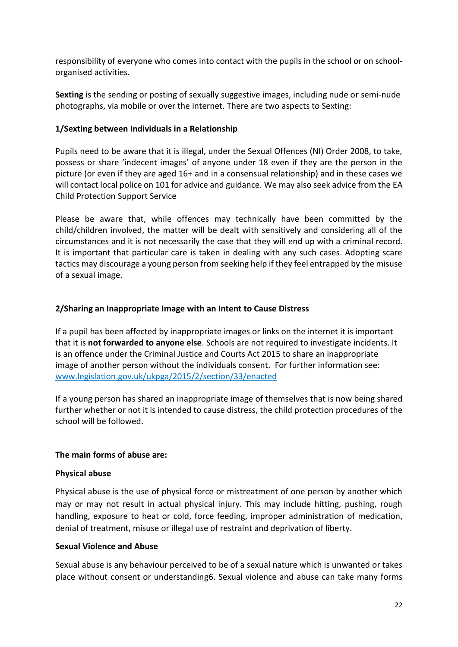responsibility of everyone who comes into contact with the pupils in the school or on schoolorganised activities.

**Sexting** is the sending or posting of sexually suggestive images, including nude or semi-nude photographs, via mobile or over the internet. There are two aspects to Sexting:

#### **1/Sexting between Individuals in a Relationship**

Pupils need to be aware that it is illegal, under the Sexual Offences (NI) Order 2008, to take, possess or share 'indecent images' of anyone under 18 even if they are the person in the picture (or even if they are aged 16+ and in a consensual relationship) and in these cases we will contact local police on 101 for advice and guidance. We may also seek advice from the EA Child Protection Support Service

Please be aware that, while offences may technically have been committed by the child/children involved, the matter will be dealt with sensitively and considering all of the circumstances and it is not necessarily the case that they will end up with a criminal record. It is important that particular care is taken in dealing with any such cases. Adopting scare tactics may discourage a young person from seeking help if they feel entrapped by the misuse of a sexual image.

#### **2/Sharing an Inappropriate Image with an Intent to Cause Distress**

If a pupil has been affected by inappropriate images or links on the internet it is important that it is **not forwarded to anyone else**. Schools are not required to investigate incidents. It is an offence under the Criminal Justice and Courts Act 2015 to share an inappropriate image of another person without the individuals consent. For further information see: www.legislation.gov.uk/ukpga/2015/2/section/33/enacted

If a young person has shared an inappropriate image of themselves that is now being shared further whether or not it is intended to cause distress, the child protection procedures of the school will be followed.

#### **The main forms of abuse are:**

#### **Physical abuse**

Physical abuse is the use of physical force or mistreatment of one person by another which may or may not result in actual physical injury. This may include hitting, pushing, rough handling, exposure to heat or cold, force feeding, improper administration of medication, denial of treatment, misuse or illegal use of restraint and deprivation of liberty.

#### **Sexual Violence and Abuse**

Sexual abuse is any behaviour perceived to be of a sexual nature which is unwanted or takes place without consent or understanding6. Sexual violence and abuse can take many forms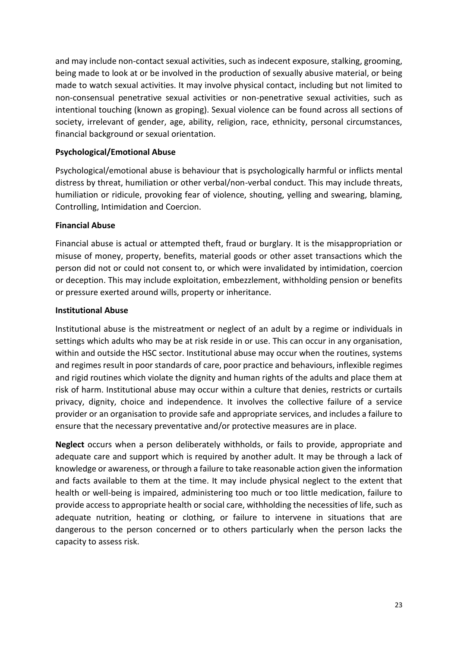and may include non-contact sexual activities, such as indecent exposure, stalking, grooming, being made to look at or be involved in the production of sexually abusive material, or being made to watch sexual activities. It may involve physical contact, including but not limited to non-consensual penetrative sexual activities or non-penetrative sexual activities, such as intentional touching (known as groping). Sexual violence can be found across all sections of society, irrelevant of gender, age, ability, religion, race, ethnicity, personal circumstances, financial background or sexual orientation.

#### **Psychological/Emotional Abuse**

Psychological/emotional abuse is behaviour that is psychologically harmful or inflicts mental distress by threat, humiliation or other verbal/non-verbal conduct. This may include threats, humiliation or ridicule, provoking fear of violence, shouting, yelling and swearing, blaming, Controlling, Intimidation and Coercion.

#### **Financial Abuse**

Financial abuse is actual or attempted theft, fraud or burglary. It is the misappropriation or misuse of money, property, benefits, material goods or other asset transactions which the person did not or could not consent to, or which were invalidated by intimidation, coercion or deception. This may include exploitation, embezzlement, withholding pension or benefits or pressure exerted around wills, property or inheritance.

#### **Institutional Abuse**

Institutional abuse is the mistreatment or neglect of an adult by a regime or individuals in settings which adults who may be at risk reside in or use. This can occur in any organisation, within and outside the HSC sector. Institutional abuse may occur when the routines, systems and regimes result in poor standards of care, poor practice and behaviours, inflexible regimes and rigid routines which violate the dignity and human rights of the adults and place them at risk of harm. Institutional abuse may occur within a culture that denies, restricts or curtails privacy, dignity, choice and independence. It involves the collective failure of a service provider or an organisation to provide safe and appropriate services, and includes a failure to ensure that the necessary preventative and/or protective measures are in place.

**Neglect** occurs when a person deliberately withholds, or fails to provide, appropriate and adequate care and support which is required by another adult. It may be through a lack of knowledge or awareness, or through a failure to take reasonable action given the information and facts available to them at the time. It may include physical neglect to the extent that health or well-being is impaired, administering too much or too little medication, failure to provide access to appropriate health or social care, withholding the necessities of life, such as adequate nutrition, heating or clothing, or failure to intervene in situations that are dangerous to the person concerned or to others particularly when the person lacks the capacity to assess risk.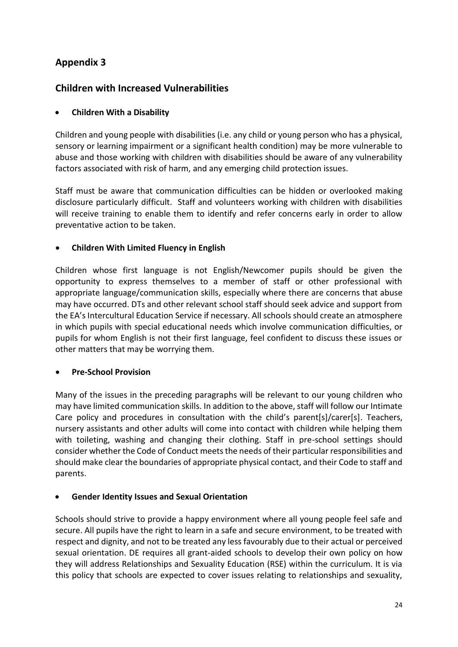# **Appendix 3**

# **Children with Increased Vulnerabilities**

# **Children With a Disability**

Children and young people with disabilities (i.e. any child or young person who has a physical, sensory or learning impairment or a significant health condition) may be more vulnerable to abuse and those working with children with disabilities should be aware of any vulnerability factors associated with risk of harm, and any emerging child protection issues.

Staff must be aware that communication difficulties can be hidden or overlooked making disclosure particularly difficult. Staff and volunteers working with children with disabilities will receive training to enable them to identify and refer concerns early in order to allow preventative action to be taken.

# **Children With Limited Fluency in English**

Children whose first language is not English/Newcomer pupils should be given the opportunity to express themselves to a member of staff or other professional with appropriate language/communication skills, especially where there are concerns that abuse may have occurred. DTs and other relevant school staff should seek advice and support from the EA's Intercultural Education Service if necessary. All schools should create an atmosphere in which pupils with special educational needs which involve communication difficulties, or pupils for whom English is not their first language, feel confident to discuss these issues or other matters that may be worrying them.

# **Pre-School Provision**

Many of the issues in the preceding paragraphs will be relevant to our young children who may have limited communication skills. In addition to the above, staff will follow our Intimate Care policy and procedures in consultation with the child's parent[s]/carer[s]. Teachers, nursery assistants and other adults will come into contact with children while helping them with toileting, washing and changing their clothing. Staff in pre-school settings should consider whether the Code of Conduct meets the needs of their particular responsibilities and should make clear the boundaries of appropriate physical contact, and their Code to staff and parents.

# **Gender Identity Issues and Sexual Orientation**

Schools should strive to provide a happy environment where all young people feel safe and secure. All pupils have the right to learn in a safe and secure environment, to be treated with respect and dignity, and not to be treated any less favourably due to their actual or perceived sexual orientation. DE requires all grant-aided schools to develop their own policy on how they will address Relationships and Sexuality Education (RSE) within the curriculum. It is via this policy that schools are expected to cover issues relating to relationships and sexuality,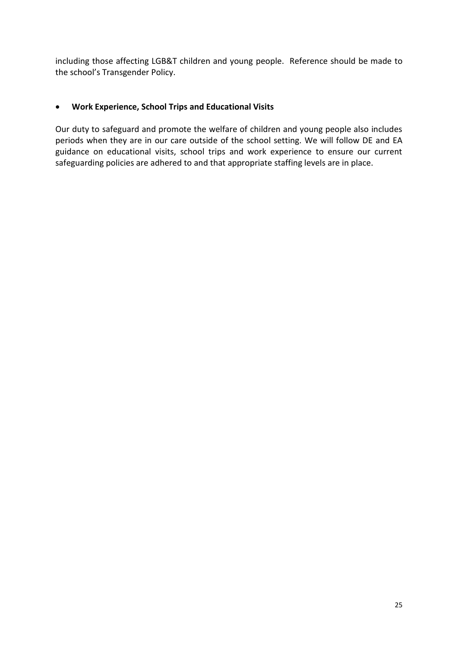including those affecting LGB&T children and young people. Reference should be made to the school's Transgender Policy.

# **Work Experience, School Trips and Educational Visits**

Our duty to safeguard and promote the welfare of children and young people also includes periods when they are in our care outside of the school setting. We will follow DE and EA guidance on educational visits, school trips and work experience to ensure our current safeguarding policies are adhered to and that appropriate staffing levels are in place.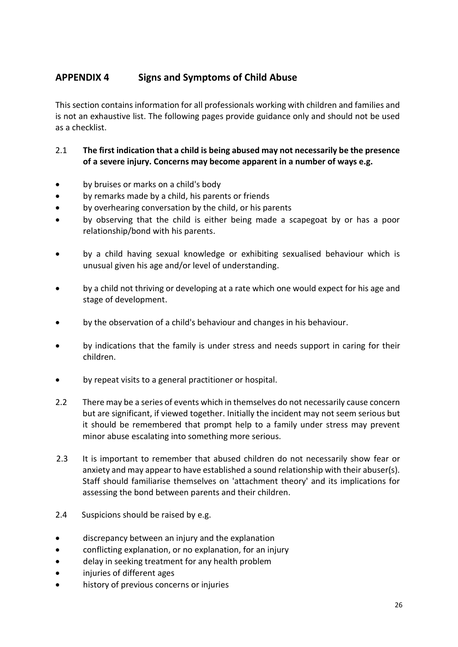# **APPENDIX 4 Signs and Symptoms of Child Abuse**

This section contains information for all professionals working with children and families and is not an exhaustive list. The following pages provide guidance only and should not be used as a checklist.

# 2.1 **The first indication that a child is being abused may not necessarily be the presence of a severe injury. Concerns may become apparent in a number of ways e.g.**

- by bruises or marks on a child's body
- by remarks made by a child, his parents or friends
- by overhearing conversation by the child, or his parents
- by observing that the child is either being made a scapegoat by or has a poor relationship/bond with his parents.
- by a child having sexual knowledge or exhibiting sexualised behaviour which is unusual given his age and/or level of understanding.
- by a child not thriving or developing at a rate which one would expect for his age and stage of development.
- by the observation of a child's behaviour and changes in his behaviour.
- by indications that the family is under stress and needs support in caring for their children.
- by repeat visits to a general practitioner or hospital.
- 2.2 There may be a series of events which in themselves do not necessarily cause concern but are significant, if viewed together. Initially the incident may not seem serious but it should be remembered that prompt help to a family under stress may prevent minor abuse escalating into something more serious.
- 2.3 It is important to remember that abused children do not necessarily show fear or anxiety and may appear to have established a sound relationship with their abuser(s). Staff should familiarise themselves on 'attachment theory' and its implications for assessing the bond between parents and their children.
- 2.4 Suspicions should be raised by e.g.
- discrepancy between an injury and the explanation
- conflicting explanation, or no explanation, for an injury
- delay in seeking treatment for any health problem
- injuries of different ages
- history of previous concerns or injuries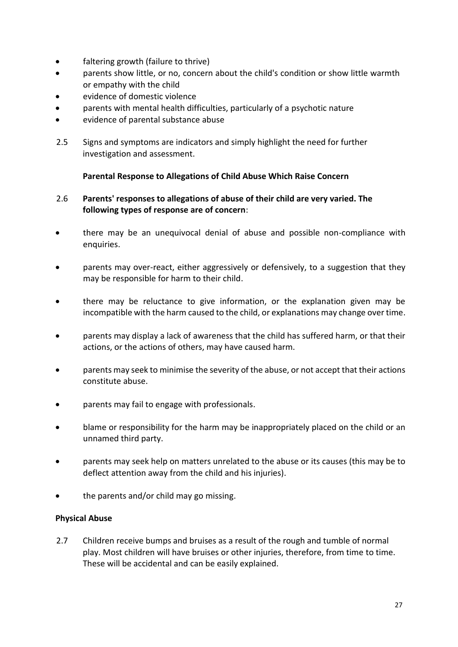- faltering growth (failure to thrive)
- parents show little, or no, concern about the child's condition or show little warmth or empathy with the child
- evidence of domestic violence
- parents with mental health difficulties, particularly of a psychotic nature
- evidence of parental substance abuse
- 2.5 Signs and symptoms are indicators and simply highlight the need for further investigation and assessment.

# **Parental Response to Allegations of Child Abuse Which Raise Concern**

# 2.6 **Parents' responses to allegations of abuse of their child are very varied. The following types of response are of concern**:

- there may be an unequivocal denial of abuse and possible non-compliance with enquiries.
- parents may over-react, either aggressively or defensively, to a suggestion that they may be responsible for harm to their child.
- there may be reluctance to give information, or the explanation given may be incompatible with the harm caused to the child, or explanations may change over time.
- parents may display a lack of awareness that the child has suffered harm, or that their actions, or the actions of others, may have caused harm.
- parents may seek to minimise the severity of the abuse, or not accept that their actions constitute abuse.
- parents may fail to engage with professionals.
- blame or responsibility for the harm may be inappropriately placed on the child or an unnamed third party.
- parents may seek help on matters unrelated to the abuse or its causes (this may be to deflect attention away from the child and his injuries).
- the parents and/or child may go missing.

# **Physical Abuse**

2.7 Children receive bumps and bruises as a result of the rough and tumble of normal play. Most children will have bruises or other injuries, therefore, from time to time. These will be accidental and can be easily explained.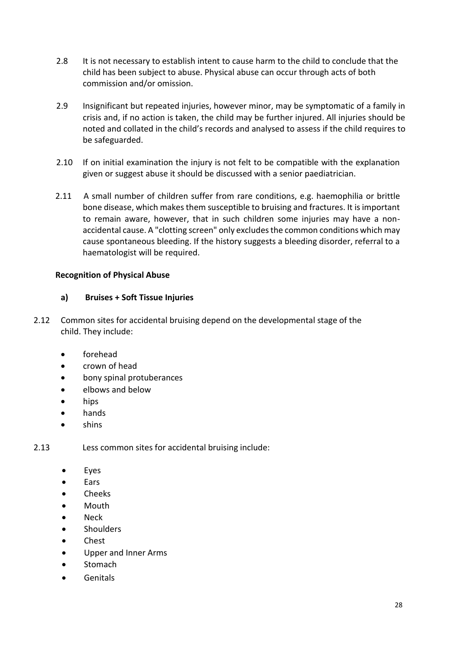- 2.8 It is not necessary to establish intent to cause harm to the child to conclude that the child has been subject to abuse. Physical abuse can occur through acts of both commission and/or omission.
- 2.9 Insignificant but repeated injuries, however minor, may be symptomatic of a family in crisis and, if no action is taken, the child may be further injured. All injuries should be noted and collated in the child's records and analysed to assess if the child requires to be safeguarded.
- 2.10 If on initial examination the injury is not felt to be compatible with the explanation given or suggest abuse it should be discussed with a senior paediatrician.
- 2.11 A small number of children suffer from rare conditions, e.g. haemophilia or brittle bone disease, which makes them susceptible to bruising and fractures. It is important to remain aware, however, that in such children some injuries may have a nonaccidental cause. A "clotting screen" only excludes the common conditions which may cause spontaneous bleeding. If the history suggests a bleeding disorder, referral to a haematologist will be required.

# **Recognition of Physical Abuse**

# **a) Bruises + Soft Tissue Injuries**

- 2.12 Common sites for accidental bruising depend on the developmental stage of the child. They include:
	- forehead
	- crown of head
	- bony spinal protuberances
	- elbows and below
	- hips
	- hands
	- shins

2.13 Less common sites for accidental bruising include:

- Eyes
- Ears
- Cheeks
- Mouth
- Neck
- **Shoulders**
- Chest
- Upper and Inner Arms
- **Stomach**
- Genitals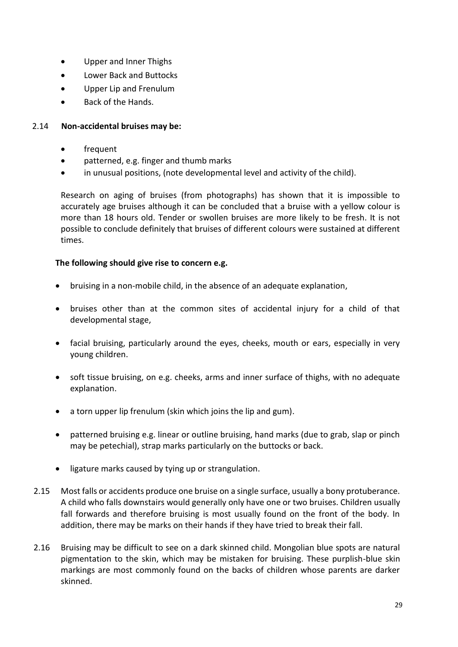- Upper and Inner Thighs
- Lower Back and Buttocks
- Upper Lip and Frenulum
- Back of the Hands.

# 2.14 **Non-accidental bruises may be:**

- frequent
- patterned, e.g. finger and thumb marks
- in unusual positions, (note developmental level and activity of the child).

Research on aging of bruises (from photographs) has shown that it is impossible to accurately age bruises although it can be concluded that a bruise with a yellow colour is more than 18 hours old. Tender or swollen bruises are more likely to be fresh. It is not possible to conclude definitely that bruises of different colours were sustained at different times.

# **The following should give rise to concern e.g.**

- bruising in a non-mobile child, in the absence of an adequate explanation,
- bruises other than at the common sites of accidental injury for a child of that developmental stage,
- facial bruising, particularly around the eyes, cheeks, mouth or ears, especially in very young children.
- soft tissue bruising, on e.g. cheeks, arms and inner surface of thighs, with no adequate explanation.
- a torn upper lip frenulum (skin which joins the lip and gum).
- patterned bruising e.g. linear or outline bruising, hand marks (due to grab, slap or pinch may be petechial), strap marks particularly on the buttocks or back.
- ligature marks caused by tying up or strangulation.
- 2.15 Most falls or accidents produce one bruise on a single surface, usually a bony protuberance. A child who falls downstairs would generally only have one or two bruises. Children usually fall forwards and therefore bruising is most usually found on the front of the body. In addition, there may be marks on their hands if they have tried to break their fall.
- 2.16 Bruising may be difficult to see on a dark skinned child. Mongolian blue spots are natural pigmentation to the skin, which may be mistaken for bruising. These purplish-blue skin markings are most commonly found on the backs of children whose parents are darker skinned.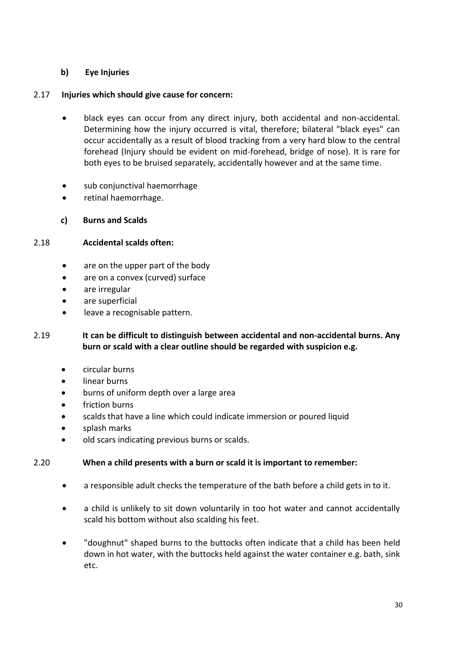# **b) Eye Injuries**

# 2.17 **Injuries which should give cause for concern:**

- black eyes can occur from any direct injury, both accidental and non-accidental. Determining how the injury occurred is vital, therefore; bilateral "black eyes" can occur accidentally as a result of blood tracking from a very hard blow to the central forehead (Injury should be evident on mid-forehead, bridge of nose). It is rare for both eyes to be bruised separately, accidentally however and at the same time.
- sub conjunctival haemorrhage
- retinal haemorrhage.
- **c) Burns and Scalds**

# 2.18 **Accidental scalds often:**

- are on the upper part of the body
- are on a convex (curved) surface
- are irregular
- are superficial
- leave a recognisable pattern.

# 2.19 **It can be difficult to distinguish between accidental and non-accidental burns. Any burn or scald with a clear outline should be regarded with suspicion e.g.**

- circular burns
- linear burns
- burns of uniform depth over a large area
- friction burns
- scalds that have a line which could indicate immersion or poured liquid
- splash marks
- old scars indicating previous burns or scalds.

# 2.20 **When a child presents with a burn or scald it is important to remember:**

- a responsible adult checks the temperature of the bath before a child gets in to it.
- a child is unlikely to sit down voluntarily in too hot water and cannot accidentally scald his bottom without also scalding his feet.
- "doughnut" shaped burns to the buttocks often indicate that a child has been held down in hot water, with the buttocks held against the water container e.g. bath, sink etc.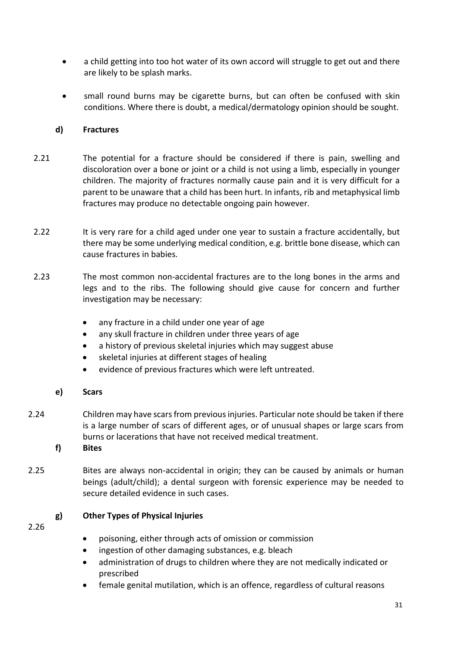- a child getting into too hot water of its own accord will struggle to get out and there are likely to be splash marks.
- small round burns may be cigarette burns, but can often be confused with skin conditions. Where there is doubt, a medical/dermatology opinion should be sought.

#### **d) Fractures**

- 2.21 The potential for a fracture should be considered if there is pain, swelling and discoloration over a bone or joint or a child is not using a limb, especially in younger children. The majority of fractures normally cause pain and it is very difficult for a parent to be unaware that a child has been hurt. In infants, rib and metaphysical limb fractures may produce no detectable ongoing pain however.
- 2.22 It is very rare for a child aged under one year to sustain a fracture accidentally, but there may be some underlying medical condition, e.g. brittle bone disease, which can cause fractures in babies.
- 2.23 The most common non-accidental fractures are to the long bones in the arms and legs and to the ribs. The following should give cause for concern and further investigation may be necessary:
	- any fracture in a child under one year of age
	- any skull fracture in children under three years of age
	- a history of previous skeletal injuries which may suggest abuse
	- skeletal injuries at different stages of healing
	- evidence of previous fractures which were left untreated.

# **e) Scars**

- 2.24 Children may have scars from previous injuries. Particular note should be taken if there is a large number of scars of different ages, or of unusual shapes or large scars from burns or lacerations that have not received medical treatment.
	- **f) Bites**
- 2.25 Bites are always non-accidental in origin; they can be caused by animals or human beings (adult/child); a dental surgeon with forensic experience may be needed to secure detailed evidence in such cases.

# **g) Other Types of Physical Injuries**

2.26

- poisoning, either through acts of omission or commission
- ingestion of other damaging substances, e.g. bleach
- administration of drugs to children where they are not medically indicated or prescribed
- female genital mutilation, which is an offence, regardless of cultural reasons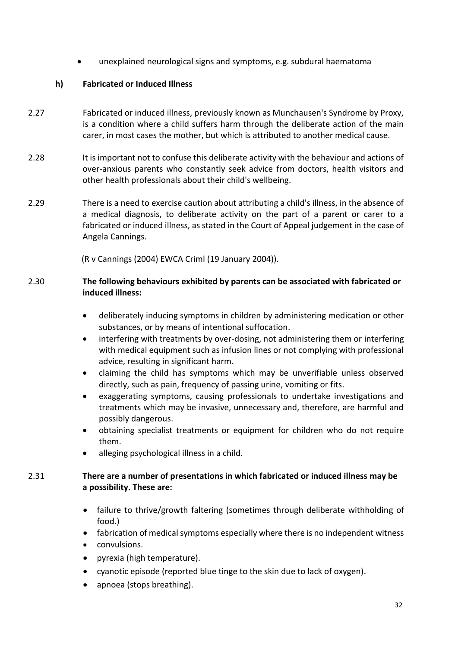unexplained neurological signs and symptoms, e.g. subdural haematoma

#### **h) Fabricated or Induced Illness**

- 2.27 Fabricated or induced illness, previously known as Munchausen's Syndrome by Proxy, is a condition where a child suffers harm through the deliberate action of the main carer, in most cases the mother, but which is attributed to another medical cause.
- 2.28 It is important not to confuse this deliberate activity with the behaviour and actions of over-anxious parents who constantly seek advice from doctors, health visitors and other health professionals about their child's wellbeing.
- 2.29 There is a need to exercise caution about attributing a child's illness, in the absence of a medical diagnosis, to deliberate activity on the part of a parent or carer to a fabricated or induced illness, as stated in the Court of Appeal judgement in the case of Angela Cannings.

(R v Cannings (2004) EWCA Criml (19 January 2004)).

# 2.30 **The following behaviours exhibited by parents can be associated with fabricated or induced illness:**

- deliberately inducing symptoms in children by administering medication or other substances, or by means of intentional suffocation.
- interfering with treatments by over-dosing, not administering them or interfering with medical equipment such as infusion lines or not complying with professional advice, resulting in significant harm.
- claiming the child has symptoms which may be unverifiable unless observed directly, such as pain, frequency of passing urine, vomiting or fits.
- exaggerating symptoms, causing professionals to undertake investigations and treatments which may be invasive, unnecessary and, therefore, are harmful and possibly dangerous.
- obtaining specialist treatments or equipment for children who do not require them.
- alleging psychological illness in a child.

# 2.31 **There are a number of presentations in which fabricated or induced illness may be a possibility. These are:**

- failure to thrive/growth faltering (sometimes through deliberate withholding of food.)
- fabrication of medical symptoms especially where there is no independent witness
- convulsions.
- pyrexia (high temperature).
- cyanotic episode (reported blue tinge to the skin due to lack of oxygen).
- apnoea (stops breathing).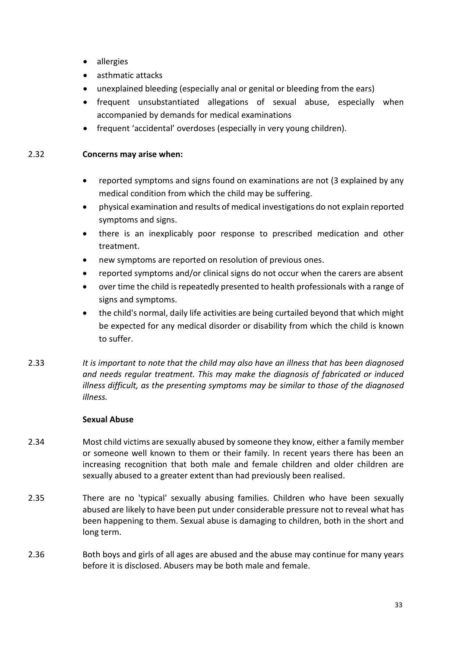- allergies
- asthmatic attacks
- unexplained bleeding (especially anal or genital or bleeding from the ears)
- frequent unsubstantiated allegations of sexual abuse, especially when accompanied by demands for medical examinations
- frequent 'accidental' overdoses (especially in very young children).

#### 2.32 **Concerns may arise when:**

- reported symptoms and signs found on examinations are not (3 explained by any medical condition from which the child may be suffering.
- physical examination and results of medical investigations do not explain reported symptoms and signs.
- there is an inexplicably poor response to prescribed medication and other treatment.
- new symptoms are reported on resolution of previous ones.
- reported symptoms and/or clinical signs do not occur when the carers are absent
- over time the child is repeatedly presented to health professionals with a range of signs and symptoms.
- the child's normal, daily life activities are being curtailed beyond that which might be expected for any medical disorder or disability from which the child is known to suffer.
- 2.33 *It is important to note that the child may also have an illness that has been diagnosed and needs regular treatment. This may make the diagnosis of fabricated or induced illness difficult, as the presenting symptoms may be similar to those of the diagnosed illness.*

#### **Sexual Abuse**

- 2.34 Most child victims are sexually abused by someone they know, either a family member or someone well known to them or their family. In recent years there has been an increasing recognition that both male and female children and older children are sexually abused to a greater extent than had previously been realised.
- 2.35 There are no 'typical' sexually abusing families. Children who have been sexually abused are likely to have been put under considerable pressure not to reveal what has been happening to them. Sexual abuse is damaging to children, both in the short and long term.
- 2.36 Both boys and girls of all ages are abused and the abuse may continue for many years before it is disclosed. Abusers may be both male and female.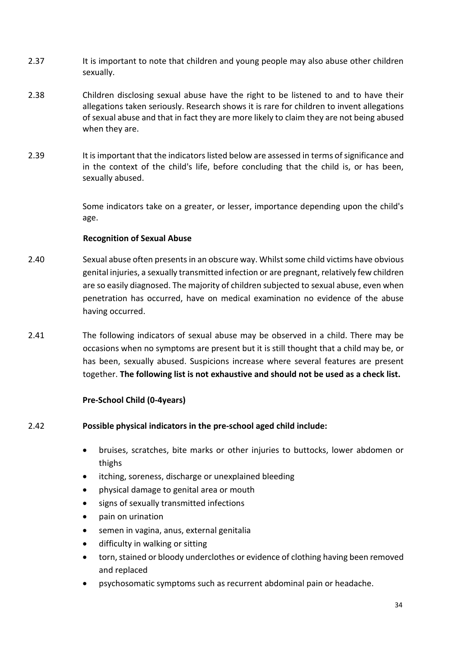- 2.37 It is important to note that children and young people may also abuse other children sexually.
- 2.38 Children disclosing sexual abuse have the right to be listened to and to have their allegations taken seriously. Research shows it is rare for children to invent allegations of sexual abuse and that in fact they are more likely to claim they are not being abused when they are.
- 2.39 It is important that the indicators listed below are assessed in terms of significance and in the context of the child's life, before concluding that the child is, or has been, sexually abused.

Some indicators take on a greater, or lesser, importance depending upon the child's age.

#### **Recognition of Sexual Abuse**

- 2.40 Sexual abuse often presents in an obscure way. Whilst some child victims have obvious genital injuries, a sexually transmitted infection or are pregnant, relatively few children are so easily diagnosed. The majority of children subjected to sexual abuse, even when penetration has occurred, have on medical examination no evidence of the abuse having occurred.
- 2.41 The following indicators of sexual abuse may be observed in a child. There may be occasions when no symptoms are present but it is still thought that a child may be, or has been, sexually abused. Suspicions increase where several features are present together. **The following list is not exhaustive and should not be used as a check list.**

# **Pre-School Child (0-4years)**

# 2.42 **Possible physical indicators in the pre-school aged child include:**

- bruises, scratches, bite marks or other injuries to buttocks, lower abdomen or thighs
- itching, soreness, discharge or unexplained bleeding
- physical damage to genital area or mouth
- signs of sexually transmitted infections
- pain on urination
- semen in vagina, anus, external genitalia
- difficulty in walking or sitting
- torn, stained or bloody underclothes or evidence of clothing having been removed and replaced
- psychosomatic symptoms such as recurrent abdominal pain or headache.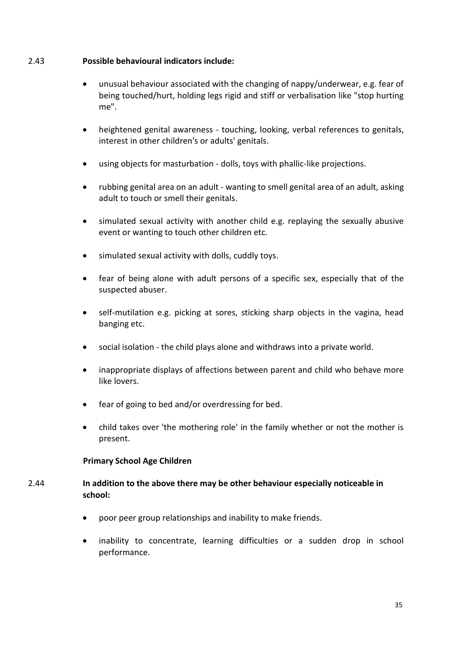#### 2.43 **Possible behavioural indicators include:**

- unusual behaviour associated with the changing of nappy/underwear, e.g. fear of being touched/hurt, holding legs rigid and stiff or verbalisation like "stop hurting me".
- heightened genital awareness touching, looking, verbal references to genitals, interest in other children's or adults' genitals.
- using objects for masturbation dolls, toys with phallic-like projections.
- rubbing genital area on an adult wanting to smell genital area of an adult, asking adult to touch or smell their genitals.
- simulated sexual activity with another child e.g. replaying the sexually abusive event or wanting to touch other children etc.
- simulated sexual activity with dolls, cuddly toys.
- fear of being alone with adult persons of a specific sex, especially that of the suspected abuser.
- self-mutilation e.g. picking at sores, sticking sharp objects in the vagina, head banging etc.
- social isolation the child plays alone and withdraws into a private world.
- inappropriate displays of affections between parent and child who behave more like lovers.
- fear of going to bed and/or overdressing for bed.
- child takes over 'the mothering role' in the family whether or not the mother is present.

# **Primary School Age Children**

# 2.44 **In addition to the above there may be other behaviour especially noticeable in school:**

- poor peer group relationships and inability to make friends.
- inability to concentrate, learning difficulties or a sudden drop in school performance.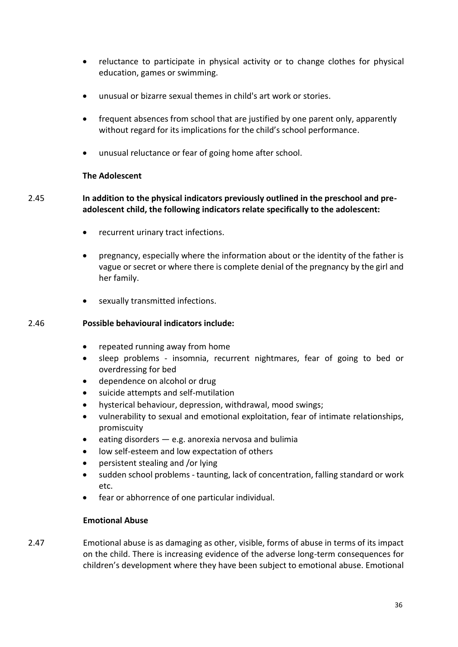- reluctance to participate in physical activity or to change clothes for physical education, games or swimming.
- unusual or bizarre sexual themes in child's art work or stories.
- frequent absences from school that are justified by one parent only, apparently without regard for its implications for the child's school performance.
- unusual reluctance or fear of going home after school.

#### **The Adolescent**

# 2.45 **In addition to the physical indicators previously outlined in the preschool and preadolescent child, the following indicators relate specifically to the adolescent:**

- recurrent urinary tract infections.
- pregnancy, especially where the information about or the identity of the father is vague or secret or where there is complete denial of the pregnancy by the girl and her family.
- sexually transmitted infections.

#### 2.46 **Possible behavioural indicators include:**

- repeated running away from home
- sleep problems insomnia, recurrent nightmares, fear of going to bed or overdressing for bed
- dependence on alcohol or drug
- suicide attempts and self-mutilation
- hysterical behaviour, depression, withdrawal, mood swings;
- vulnerability to sexual and emotional exploitation, fear of intimate relationships, promiscuity
- eating disorders  $-$  e.g. anorexia nervosa and bulimia
- low self-esteem and low expectation of others
- persistent stealing and /or lying
- sudden school problems taunting, lack of concentration, falling standard or work etc.
- fear or abhorrence of one particular individual.

#### **Emotional Abuse**

2.47 Emotional abuse is as damaging as other, visible, forms of abuse in terms of its impact on the child. There is increasing evidence of the adverse long-term consequences for children's development where they have been subject to emotional abuse. Emotional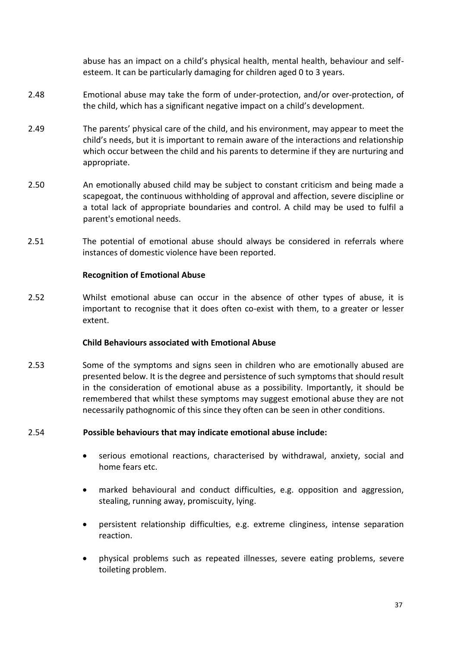abuse has an impact on a child's physical health, mental health, behaviour and selfesteem. It can be particularly damaging for children aged 0 to 3 years.

- 2.48 Emotional abuse may take the form of under-protection, and/or over-protection, of the child, which has a significant negative impact on a child's development.
- 2.49 The parents' physical care of the child, and his environment, may appear to meet the child's needs, but it is important to remain aware of the interactions and relationship which occur between the child and his parents to determine if they are nurturing and appropriate.
- 2.50 An emotionally abused child may be subject to constant criticism and being made a scapegoat, the continuous withholding of approval and affection, severe discipline or a total lack of appropriate boundaries and control. A child may be used to fulfil a parent's emotional needs.
- 2.51 The potential of emotional abuse should always be considered in referrals where instances of domestic violence have been reported.

#### **Recognition of Emotional Abuse**

2.52 Whilst emotional abuse can occur in the absence of other types of abuse, it is important to recognise that it does often co-exist with them, to a greater or lesser extent.

#### **Child Behaviours associated with Emotional Abuse**

2.53 Some of the symptoms and signs seen in children who are emotionally abused are presented below. It is the degree and persistence of such symptoms that should result in the consideration of emotional abuse as a possibility. Importantly, it should be remembered that whilst these symptoms may suggest emotional abuse they are not necessarily pathognomic of this since they often can be seen in other conditions.

#### 2.54 **Possible behaviours that may indicate emotional abuse include:**

- serious emotional reactions, characterised by withdrawal, anxiety, social and home fears etc.
- marked behavioural and conduct difficulties, e.g. opposition and aggression, stealing, running away, promiscuity, lying.
- persistent relationship difficulties, e.g. extreme clinginess, intense separation reaction.
- physical problems such as repeated illnesses, severe eating problems, severe toileting problem.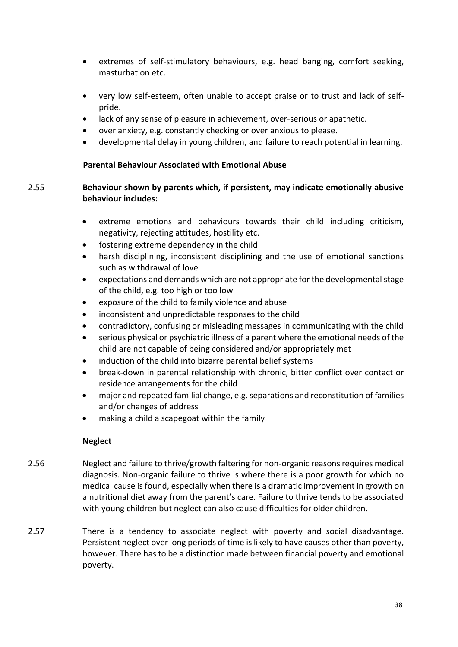- extremes of self-stimulatory behaviours, e.g. head banging, comfort seeking, masturbation etc.
- very low self-esteem, often unable to accept praise or to trust and lack of selfpride.
- lack of any sense of pleasure in achievement, over-serious or apathetic.
- over anxiety, e.g. constantly checking or over anxious to please.
- developmental delay in young children, and failure to reach potential in learning.

#### **Parental Behaviour Associated with Emotional Abuse**

# 2.55 **Behaviour shown by parents which, if persistent, may indicate emotionally abusive behaviour includes:**

- extreme emotions and behaviours towards their child including criticism, negativity, rejecting attitudes, hostility etc.
- fostering extreme dependency in the child
- harsh disciplining, inconsistent disciplining and the use of emotional sanctions such as withdrawal of love
- expectations and demands which are not appropriate for the developmental stage of the child, e.g. too high or too low
- exposure of the child to family violence and abuse
- inconsistent and unpredictable responses to the child
- contradictory, confusing or misleading messages in communicating with the child
- serious physical or psychiatric illness of a parent where the emotional needs of the child are not capable of being considered and/or appropriately met
- induction of the child into bizarre parental belief systems
- break-down in parental relationship with chronic, bitter conflict over contact or residence arrangements for the child
- major and repeated familial change, e.g. separations and reconstitution of families and/or changes of address
- making a child a scapegoat within the family

# **Neglect**

- 2.56 Neglect and failure to thrive/growth faltering for non-organic reasons requires medical diagnosis. Non-organic failure to thrive is where there is a poor growth for which no medical cause is found, especially when there is a dramatic improvement in growth on a nutritional diet away from the parent's care. Failure to thrive tends to be associated with young children but neglect can also cause difficulties for older children.
- 2.57 There is a tendency to associate neglect with poverty and social disadvantage. Persistent neglect over long periods of time is likely to have causes other than poverty, however. There has to be a distinction made between financial poverty and emotional poverty.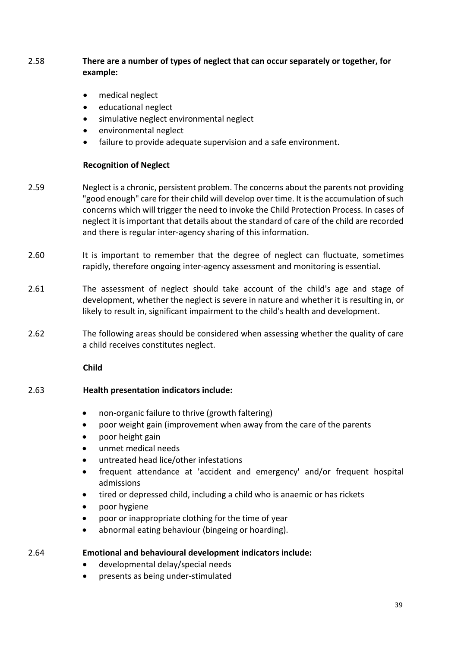# 2.58 **There are a number of types of neglect that can occur separately or together, for example:**

- medical neglect
- educational neglect
- simulative neglect environmental neglect
- environmental neglect
- failure to provide adequate supervision and a safe environment.

#### **Recognition of Neglect**

- 2.59 Neglect is a chronic, persistent problem. The concerns about the parents not providing "good enough" care for their child will develop over time. It is the accumulation of such concerns which will trigger the need to invoke the Child Protection Process. In cases of neglect it is important that details about the standard of care of the child are recorded and there is regular inter-agency sharing of this information.
- 2.60 It is important to remember that the degree of neglect can fluctuate, sometimes rapidly, therefore ongoing inter-agency assessment and monitoring is essential.
- 2.61 The assessment of neglect should take account of the child's age and stage of development, whether the neglect is severe in nature and whether it is resulting in, or likely to result in, significant impairment to the child's health and development.
- 2.62 The following areas should be considered when assessing whether the quality of care a child receives constitutes neglect.

**Child**

#### 2.63 **Health presentation indicators include:**

- non-organic failure to thrive (growth faltering)
- poor weight gain (improvement when away from the care of the parents
- poor height gain
- unmet medical needs
- untreated head lice/other infestations
- frequent attendance at 'accident and emergency' and/or frequent hospital admissions
- tired or depressed child, including a child who is anaemic or has rickets
- poor hygiene
- poor or inappropriate clothing for the time of year
- abnormal eating behaviour (bingeing or hoarding).

2.64 **Emotional and behavioural development indicators include:**

- developmental delay/special needs
- presents as being under-stimulated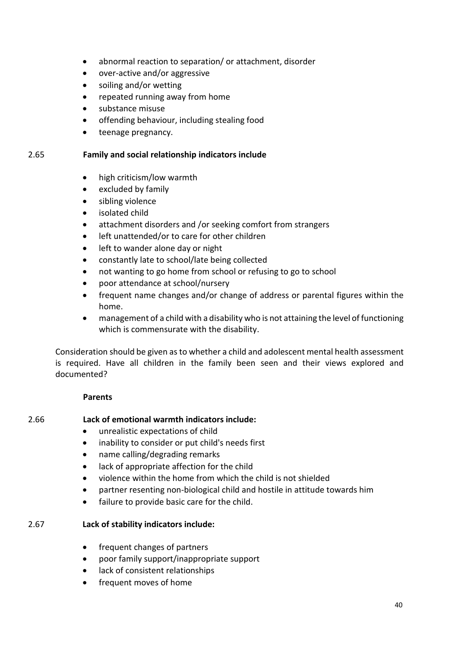- abnormal reaction to separation/ or attachment, disorder
- over-active and/or aggressive
- soiling and/or wetting
- repeated running away from home
- substance misuse
- offending behaviour, including stealing food
- teenage pregnancy.

#### 2.65 **Family and social relationship indicators include**

- high criticism/low warmth
- excluded by family
- sibling violence
- isolated child
- attachment disorders and /or seeking comfort from strangers
- left unattended/or to care for other children
- left to wander alone day or night
- constantly late to school/late being collected
- not wanting to go home from school or refusing to go to school
- poor attendance at school/nursery
- frequent name changes and/or change of address or parental figures within the home.
- management of a child with a disability who is not attaining the level of functioning which is commensurate with the disability.

Consideration should be given as to whether a child and adolescent mental health assessment is required. Have all children in the family been seen and their views explored and documented?

#### **Parents**

#### 2.66 **Lack of emotional warmth indicators include:**

- unrealistic expectations of child
- inability to consider or put child's needs first
- name calling/degrading remarks
- lack of appropriate affection for the child
- violence within the home from which the child is not shielded
- partner resenting non-biological child and hostile in attitude towards him
- failure to provide basic care for the child.

#### 2.67 **Lack of stability indicators include:**

- frequent changes of partners
- poor family support/inappropriate support
- lack of consistent relationships
- frequent moves of home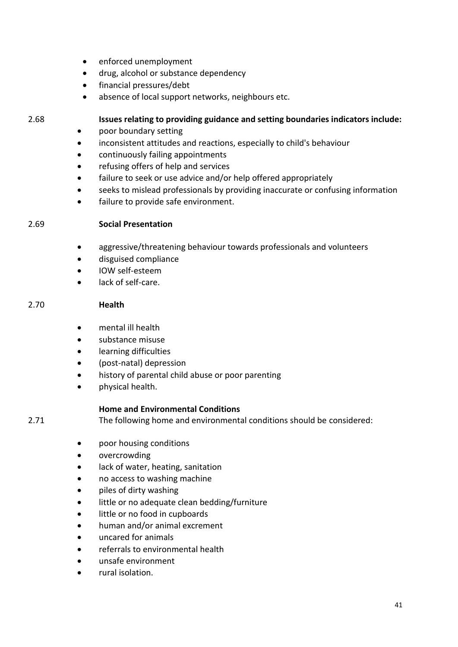- enforced unemployment
- drug, alcohol or substance dependency
- financial pressures/debt
- absence of local support networks, neighbours etc.

#### 2.68 **Issues relating to providing guidance and setting boundaries indicators include:**

- poor boundary setting
- inconsistent attitudes and reactions, especially to child's behaviour
- continuously failing appointments
- refusing offers of help and services
- failure to seek or use advice and/or help offered appropriately
- seeks to mislead professionals by providing inaccurate or confusing information
- failure to provide safe environment.

#### 2.69 **Social Presentation**

- aggressive/threatening behaviour towards professionals and volunteers
- disguised compliance
- IOW self-esteem
- lack of self-care.

#### 2.70 **Health**

- mental ill health
- substance misuse
- learning difficulties
- (post-natal) depression
- history of parental child abuse or poor parenting
- physical health.

#### **Home and Environmental Conditions**

2.71 The following home and environmental conditions should be considered:

- poor housing conditions
- overcrowding
- lack of water, heating, sanitation
- no access to washing machine
- piles of dirty washing
- little or no adequate clean bedding/furniture
- little or no food in cupboards
- human and/or animal excrement
- uncared for animals
- referrals to environmental health
- unsafe environment
- rural isolation.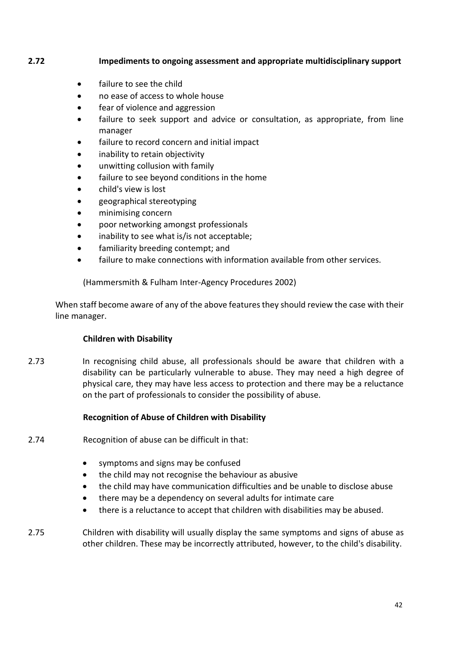# **2.72 Impediments to ongoing assessment and appropriate multidisciplinary support**

- failure to see the child
- no ease of access to whole house
- fear of violence and aggression
- failure to seek support and advice or consultation, as appropriate, from line manager
- failure to record concern and initial impact
- inability to retain objectivity
- unwitting collusion with family
- failure to see beyond conditions in the home
- child's view is lost
- geographical stereotyping
- minimising concern
- poor networking amongst professionals
- inability to see what is/is not acceptable;
- familiarity breeding contempt; and
- failure to make connections with information available from other services.

(Hammersmith & Fulham Inter-Agency Procedures 2002)

When staff become aware of any of the above features they should review the case with their line manager.

#### **Children with Disability**

2.73 In recognising child abuse, all professionals should be aware that children with a disability can be particularly vulnerable to abuse. They may need a high degree of physical care, they may have less access to protection and there may be a reluctance on the part of professionals to consider the possibility of abuse.

#### **Recognition of Abuse of Children with Disability**

- 2.74 Recognition of abuse can be difficult in that:
	- symptoms and signs may be confused
	- the child may not recognise the behaviour as abusive
	- the child may have communication difficulties and be unable to disclose abuse
	- there may be a dependency on several adults for intimate care
	- there is a reluctance to accept that children with disabilities may be abused.

2.75 Children with disability will usually display the same symptoms and signs of abuse as other children. These may be incorrectly attributed, however, to the child's disability.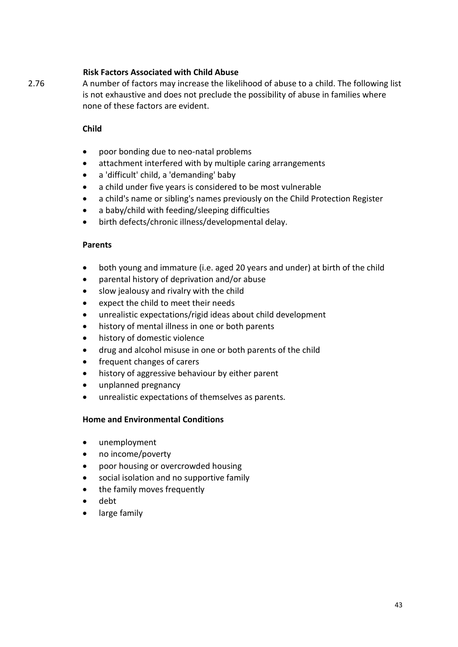# **Risk Factors Associated with Child Abuse**

2.76 A number of factors may increase the likelihood of abuse to a child. The following list is not exhaustive and does not preclude the possibility of abuse in families where none of these factors are evident.

#### **Child**

- poor bonding due to neo-natal problems
- attachment interfered with by multiple caring arrangements
- a 'difficult' child, a 'demanding' baby
- a child under five years is considered to be most vulnerable
- a child's name or sibling's names previously on the Child Protection Register
- a baby/child with feeding/sleeping difficulties
- birth defects/chronic illness/developmental delay.

#### **Parents**

- both young and immature (i.e. aged 20 years and under) at birth of the child
- parental history of deprivation and/or abuse
- slow jealousy and rivalry with the child
- expect the child to meet their needs
- unrealistic expectations/rigid ideas about child development
- history of mental illness in one or both parents
- history of domestic violence
- drug and alcohol misuse in one or both parents of the child
- frequent changes of carers
- history of aggressive behaviour by either parent
- unplanned pregnancy
- unrealistic expectations of themselves as parents.

#### **Home and Environmental Conditions**

- unemployment
- no income/poverty
- poor housing or overcrowded housing
- social isolation and no supportive family
- the family moves frequently
- debt
- <span id="page-42-0"></span>large family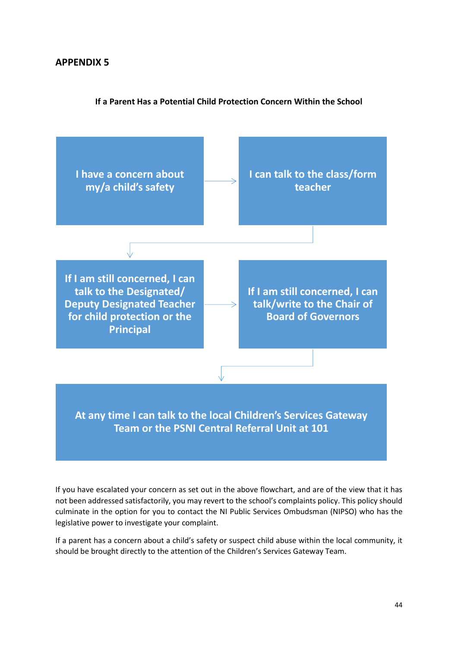# **APPENDIX 5**

#### **If a Parent Has a Potential Child Protection Concern Within the School**



If you have escalated your concern as set out in the above flowchart, and are of the view that it has not been addressed satisfactorily, you may revert to the school's complaints policy. This policy should culminate in the option for you to contact the NI Public Services Ombudsman (NIPSO) who has the legislative power to investigate your complaint.

If a parent has a concern about a child's safety or suspect child abuse within the local community, it should be brought directly to the attention of the Children's Services Gateway Team.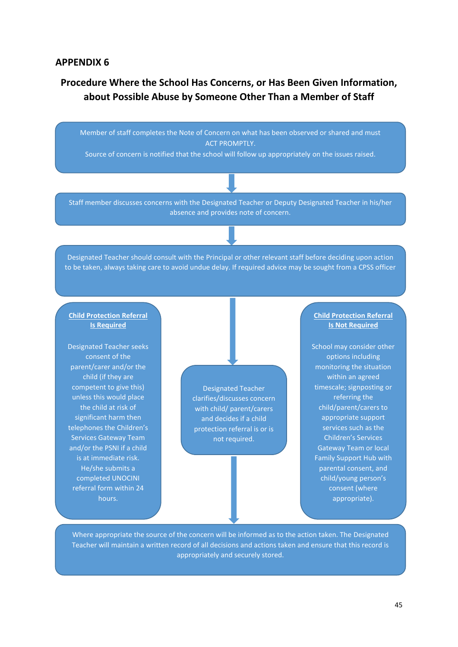#### <span id="page-44-0"></span>**APPENDIX 6**

# **Procedure Where the School Has Concerns, or Has Been Given Information, about Possible Abuse by Someone Other Than a Member of Staff**

Member of staff completes the Note of Concern on what has been observed or shared and must **ACT PROMPTIY.** 

Source of concern is notified that the school will follow up appropriately on the issues raised.

Staff member discusses concerns with the Designated Teacher or Deputy Designated Teacher in his/her absence and provides note of concern.

Designated Teacher should consult with the Principal or other relevant staff before deciding upon action to be taken, always taking care to avoid undue delay. If required advice may be sought from a CPSS officer

#### **Child Protection Referral Is Required**

Designated Teacher seeks consent of the parent/carer and/or the child (if they are competent to give this) unless this would place the child at risk of significant harm then telephones the Children's Services Gateway Team and/or the PSNI if a child is at immediate risk. He/she submits a completed UNOCINI referral form within 24 hours.

Designated Teacher clarifies/discusses concern with child/ parent/carers and decides if a child protection referral is or is not required.

#### **Child Protection Referral Is Not Required**

School may consider other options including monitoring the situation within an agreed timescale; signposting or referring the child/parent/carers to appropriate support services such as the Children's Services Gateway Team or local Family Support Hub with parental consent, and child/young person's consent (where appropriate).

Where appropriate the source of the concern will be informed as to the action taken. The Designated Teacher will maintain a written record of all decisions and actions taken and ensure that this record is appropriately and securely stored.